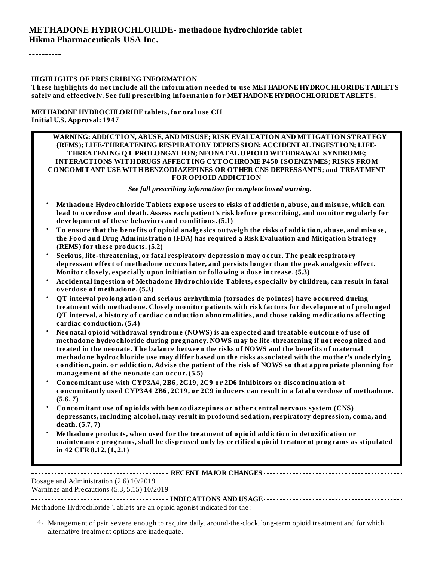#### **METHADONE HYDROCHLORIDE- methadone hydrochloride tablet Hikma Pharmaceuticals USA Inc.**

----------

#### **HIGHLIGHTS OF PRESCRIBING INFORMATION**

**These highlights do not include all the information needed to use METHADONE HYDROCHLORIDE TABLETS safely and effectively. See full prescribing information for METHADONE HYDROCHLORIDE TABLETS.**

#### **METHADONE HYDROCHLORIDE tablets, for oral use CII Initial U.S. Approval: 1947**

#### **WARNING: ADDICTION, ABUSE, AND MISUSE; RISK EVALUATION AND MITIGATION STRATEGY (REMS); LIFE-THREATENING RESPIRATORY DEPRESSION; ACCIDENTAL INGESTION; LIFE-THREATENING QT PROLONGATION; NEONATAL OPIOID WITHDRAWAL SYNDROME; INTERACTIONS WITHDRUGS AFFECTING CYTOCHROME P450 ISOENZYMES; RISKS FROM CONCOMITANT USE WITHBENZODIAZEPINES OR OTHER CNS DEPRESSANTS; and TREATMENT FOR OPIOID ADDICTION**

*See full prescribing information for complete boxed warning.*

- **Methadone Hydrochloride Tablets expose users to risks of addiction, abuse, and misuse, which can lead to overdose and death. Assess each patient's risk before prescribing, and monitor regularly for development of these behaviors and conditions. (5.1)**
- **To ensure that the benefits of opioid analgesics outweigh the risks of addiction, abuse, and misuse, the Food and Drug Administration (FDA) has required a Risk Evaluation and Mitigation Strategy (REMS) for these products. (5.2)**
- **Serious, life-threatening, or fatal respiratory depression may occur. The peak respiratory depressant effect of methadone occurs later, and persists longer than the peak analgesic effect. Monitor closely, especially upon initiation or following a dose increase. (5.3)**
- **Accidental ingestion of Methadone Hydrochloride Tablets, especially by children, can result in fatal overdose of methadone. (5.3)**
- **QT interval prolongation and serious arrhythmia (torsades de pointes) have occurred during treatment with methadone. Closely monitor patients with risk factors for development of prolonged QT interval, a history of cardiac conduction abnormalities, and those taking medications affecting cardiac conduction. (5.4)**
- **Neonatal opioid withdrawal syndrome (NOWS) is an expected and treatable outcome of use of methadone hydrochloride during pregnancy. NOWS may be life-threatening if not recognized and treated in the neonate. The balance between the risks of NOWS and the benefits of maternal methadone hydrochloride use may differ based on the risks associated with the mother's underlying condition, pain, or addiction. Advise the patient of the risk of NOWS so that appropriate planning for management of the neonate can occur. (5.5)**
- **Concomitant use with CYP3A4, 2B6, 2C19, 2C9 or 2D6 inhibitors or discontinuation of concomitantly used CYP3A4 2B6, 2C19, or 2C9 inducers can result in a fatal overdose of methadone. (5.6, 7)**
- **Concomitant use of opioids with benzodiazepines or other central nervous system (CNS) depressants, including alcohol, may result in profound sedation, respiratory depression, coma, and death. (5.7, 7)**
- **Methadone products, when used for the treatment of opioid addiction in detoxification or maintenance programs, shall be dispensed only by certified opioid treatment programs as stipulated in 42 CFR 8.12. (1, 2.1)**

**RECENT MAJOR CHANGES** Dosage and Administration (2.6) 10/2019 Warnings and Precautions (5.3, 5.15) 10/2019

**INDICATIONS AND USAGE** Methadone Hydrochloride Tablets are an opioid agonist indicated for the:

4. Management of pain severe enough to require daily, around-the-clock, long-term opioid treatment and for which alternative treatment options are inadequate.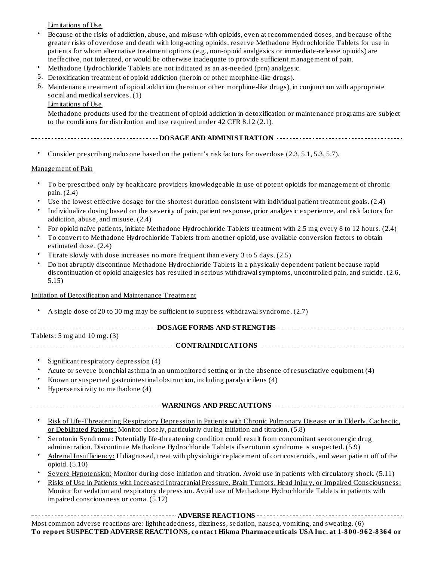Limitations of Use

- Because of the risks of addiction, abuse, and misuse with opioids, even at recommended doses, and because of the greater risks of overdose and death with long-acting opioids, reserve Methadone Hydrochloride Tablets for use in patients for whom alternative treatment options (e.g., non-opioid analgesics or immediate-release opioids) are ineffective, not tolerated, or would be otherwise inadequate to provide sufficient management of pain.
- Methadone Hydrochloride Tablets are not indicated as an as-needed (prn) analgesic.
- 5. Detoxification treatment of opioid addiction (heroin or other morphine-like drugs).
- 6. Maintenance treatment of opioid addiction (heroin or other morphine-like drugs), in conjunction with appropriate social and medical services. (1)

#### Limitations of Use

Methadone products used for the treatment of opioid addiction in detoxification or maintenance programs are subject to the conditions for distribution and use required under 42 CFR 8.12 (2.1).

**DOSAGE AND ADMINISTRATION**

• Consider prescribing naloxone based on the patient's risk factors for overdose (2.3, 5.1, 5.3, 5.7).

#### Management of Pain

- To be prescribed only by healthcare providers knowledgeable in use of potent opioids for management of chronic pain. (2.4)
- Use the lowest effective dosage for the shortest duration consistent with individual patient treatment goals. (2.4)
- Individualize dosing based on the severity of pain, patient response, prior analgesic experience, and risk factors for addiction, abuse, and misuse. (2.4)
- For opioid naïve patients, initiate Methadone Hydrochloride Tablets treatment with 2.5 mg every 8 to 12 hours. (2.4)
- To convert to Methadone Hydrochloride Tablets from another opioid, use available conversion factors to obtain estimated dose. (2.4)
- Titrate slowly with dose increases no more frequent than every 3 to 5 days. (2.5)
- Do not abruptly discontinue Methadone Hydrochloride Tablets in a physically dependent patient because rapid discontinuation of opioid analgesics has resulted in serious withdrawalsymptoms, uncontrolled pain, and suicide. (2.6, 5.15)

#### Initiation of Detoxification and Maintenance Treatment

• A single dose of 20 to 30 mg may be sufficient to suppress withdrawalsyndrome. (2.7)

| Tablets: $5 \text{ mg}$ and $10 \text{ mg}$ . $(3)$ |
|-----------------------------------------------------|
|                                                     |

- Significant respiratory depression (4)
- Acute or severe bronchial asthma in an unmonitored setting or in the absence of resuscitative equipment (4)
- Known or suspected gastrointestinal obstruction, including paralytic ileus (4)
- Hypersensitivity to methadone (4)

```
WARNINGS AND PRECAUTIONS
```
- Risk of Life-Threatening Respiratory Depression in Patients with Chronic Pulmonary Disease or in Elderly, Cachectic, or Debilitated Patients: Monitor closely, particularly during initiation and titration. (5.8)
- Serotonin Syndrome: Potentially life-threatening condition could result from concomitant serotonergic drug administration. Discontinue Methadone Hydrochloride Tablets if serotonin syndrome is suspected. (5.9)
- Adrenal Insufficiency: If diagnosed, treat with physiologic replacement of corticosteroids, and wean patient off of the opioid. (5.10)
- Severe Hypotension: Monitor during dose initiation and titration. Avoid use in patients with circulatory shock. (5.11)
- Risks of Use in Patients with Increased Intracranial Pressure, Brain Tumors, Head Injury, or Impaired Consciousness: Monitor for sedation and respiratory depression. Avoid use of Methadone Hydrochloride Tablets in patients with impaired consciousness or coma. (5.12)

**ADVERSE REACTIONS** Most common adverse reactions are: lightheadedness, dizziness, sedation, nausea, vomiting, and sweating. (6) **To report SUSPECTED ADVERSE REACTIONS, contact Hikma Pharmaceuticals USA Inc. at 1-800-962-8364 or**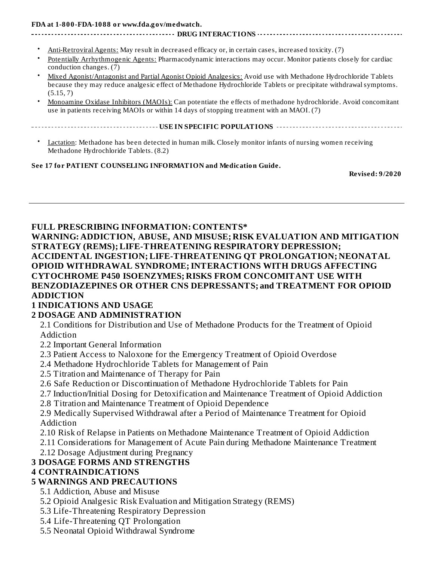#### **FDA at 1-800-FDA-1088 or www.fda.gov/medwatch.**

#### **DRUG INTERACTIONS**

- Anti-Retroviral Agents: May result in decreased efficacy or, in certain cases, increased toxicity. (7)
- Potentially Arrhythmogenic Agents: Pharmacodynamic interactions may occur. Monitor patients closely for cardiac conduction changes. (7)
- Mixed Agonist/Antagonist and Partial Agonist Opioid Analgesics: Avoid use with Methadone Hydrochloride Tablets because they may reduce analgesic effect of Methadone Hydrochloride Tablets or precipitate withdrawalsymptoms.  $(5.15, 7)$
- Monoamine Oxidase Inhibitors (MAOIs): Can potentiate the effects of methadone hydrochloride. Avoid concomitant use in patients receiving MAOIs or within 14 days of stopping treatment with an MAOI. (7)
- **TEREFORE IN SPECIFIC POPULATIONS** 
	- Lactation: Methadone has been detected in human milk. Closely monitor infants of nursing women receiving Methadone Hydrochloride Tablets. (8.2)

#### **See 17 for PATIENT COUNSELING INFORMATION and Medication Guide.**

**Revised: 9/2020**

#### **FULL PRESCRIBING INFORMATION: CONTENTS\***

**WARNING: ADDICTION, ABUSE, AND MISUSE; RISK EVALUATION AND MITIGATION STRATEGY (REMS); LIFE-THREATENING RESPIRATORY DEPRESSION; ACCIDENTAL INGESTION; LIFE-THREATENING QT PROLONGATION; NEONATAL OPIOID WITHDRAWAL SYNDROME;INTERACTIONS WITH DRUGS AFFECTING CYTOCHROME P450 ISOENZYMES; RISKS FROM CONCOMITANT USE WITH BENZODIAZEPINES OR OTHER CNS DEPRESSANTS; and TREATMENT FOR OPIOID ADDICTION**

#### **1 INDICATIONS AND USAGE**

#### **2 DOSAGE AND ADMINISTRATION**

2.1 Conditions for Distribution and Use of Methadone Products for the Treatment of Opioid Addiction

- 2.2 Important General Information
- 2.3 Patient Access to Naloxone for the Emergency Treatment of Opioid Overdose
- 2.4 Methadone Hydrochloride Tablets for Management of Pain
- 2.5 Titration and Maintenance of Therapy for Pain
- 2.6 Safe Reduction or Discontinuation of Methadone Hydrochloride Tablets for Pain
- 2.7 Induction/Initial Dosing for Detoxification and Maintenance Treatment of Opioid Addiction
- 2.8 Titration and Maintenance Treatment of Opioid Dependence

2.9 Medically Supervised Withdrawal after a Period of Maintenance Treatment for Opioid Addiction

- 2.10 Risk of Relapse in Patients on Methadone Maintenance Treatment of Opioid Addiction
- 2.11 Considerations for Management of Acute Pain during Methadone Maintenance Treatment
- 2.12 Dosage Adjustment during Pregnancy

#### **3 DOSAGE FORMS AND STRENGTHS**

#### **4 CONTRAINDICATIONS**

#### **5 WARNINGS AND PRECAUTIONS**

- 5.1 Addiction, Abuse and Misuse
- 5.2 Opioid Analgesic Risk Evaluation and Mitigation Strategy (REMS)
- 5.3 Life-Threatening Respiratory Depression
- 5.4 Life-Threatening QT Prolongation
- 5.5 Neonatal Opioid Withdrawal Syndrome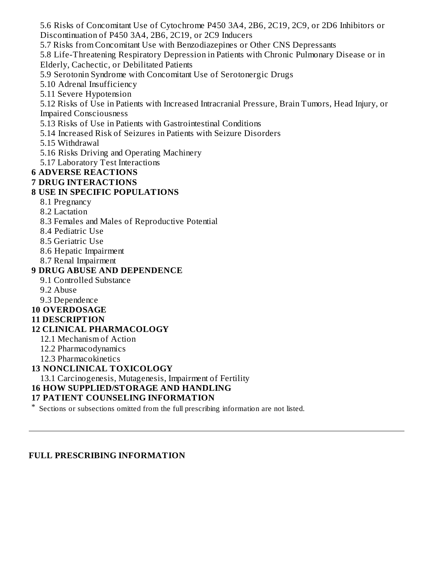5.6 Risks of Concomitant Use of Cytochrome P450 3A4, 2B6, 2C19, 2C9, or 2D6 Inhibitors or Discontinuation of P450 3A4, 2B6, 2C19, or 2C9 Inducers

5.7 Risks from Concomitant Use with Benzodiazepines or Other CNS Depressants

5.8 Life-Threatening Respiratory Depression in Patients with Chronic Pulmonary Disease or in Elderly, Cachectic, or Debilitated Patients

5.9 Serotonin Syndrome with Concomitant Use of Serotonergic Drugs

- 5.10 Adrenal Insufficiency
- 5.11 Severe Hypotension

5.12 Risks of Use in Patients with Increased Intracranial Pressure, Brain Tumors, Head Injury, or Impaired Consciousness

5.13 Risks of Use in Patients with Gastrointestinal Conditions

- 5.14 Increased Risk of Seizures in Patients with Seizure Disorders
- 5.15 Withdrawal
- 5.16 Risks Driving and Operating Machinery
- 5.17 Laboratory Test Interactions

# **6 ADVERSE REACTIONS**

## **7 DRUG INTERACTIONS**

## **8 USE IN SPECIFIC POPULATIONS**

- 8.1 Pregnancy
- 8.2 Lactation
- 8.3 Females and Males of Reproductive Potential
- 8.4 Pediatric Use
- 8.5 Geriatric Use
- 8.6 Hepatic Impairment
- 8.7 Renal Impairment

# **9 DRUG ABUSE AND DEPENDENCE**

- 9.1 Controlled Substance
- 9.2 Abuse
- 9.3 Dependence
- **10 OVERDOSAGE**

# **11 DESCRIPTION**

# **12 CLINICAL PHARMACOLOGY**

- 12.1 Mechanism of Action
- 12.2 Pharmacodynamics
- 12.3 Pharmacokinetics

# **13 NONCLINICAL TOXICOLOGY**

13.1 Carcinogenesis, Mutagenesis, Impairment of Fertility

# **16 HOW SUPPLIED/STORAGE AND HANDLING**

# **17 PATIENT COUNSELING INFORMATION**

\* Sections or subsections omitted from the full prescribing information are not listed.

#### **FULL PRESCRIBING INFORMATION**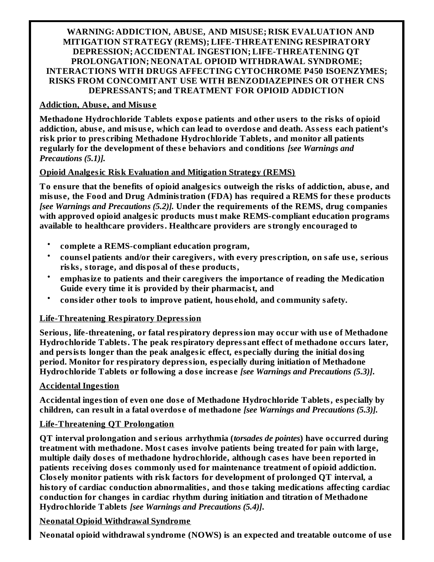#### **WARNING: ADDICTION, ABUSE, AND MISUSE; RISK EVALUATION AND MITIGATION STRATEGY (REMS); LIFE-THREATENING RESPIRATORY DEPRESSION; ACCIDENTAL INGESTION; LIFE-THREATENING QT PROLONGATION; NEONATAL OPIOID WITHDRAWAL SYNDROME; INTERACTIONS WITH DRUGS AFFECTING CYTOCHROME P450 ISOENZYMES; RISKS FROM CONCOMITANT USE WITH BENZODIAZEPINES OR OTHER CNS DEPRESSANTS; and TREATMENT FOR OPIOID ADDICTION**

#### **Addiction, Abus e, and Misus e**

**Methadone Hydrochloride Tablets expos e patients and other us ers to the risks of opioid addiction, abus e, and misus e, which can lead to overdos e and death. Ass ess each patient's risk prior to pres cribing Methadone Hydrochloride Tablets, and monitor all patients regularly for the development of thes e behaviors and conditions** *[see Warnings and Precautions (5.1)].*

#### **Opioid Analgesic Risk Evaluation and Mitigation Strategy (REMS)**

**To ensure that the benefits of opioid analgesics outweigh the risks of addiction, abus e, and misus e, the Food and Drug Administration (FDA) has required a REMS for thes e products** *[see Warnings and Precautions (5.2)].* **Under the requirements of the REMS, drug companies with approved opioid analgesic products must make REMS-compliant education programs available to healthcare providers. Healthcare providers are strongly encouraged to**

- **complete a REMS-compliant education program,**
- **couns el patients and/or their caregivers, with every pres cription, on safe us e, s erious risks, storage, and disposal of thes e products,**
- **emphasize to patients and their caregivers the importance of reading the Medication Guide every time it is provided by their pharmacist, and**
- **consider other tools to improve patient, hous ehold, and community safety.**

#### **Life-Threatening Respiratory Depression**

**Serious, life-threatening, or fatal respiratory depression may occur with us e of Methadone Hydrochloride Tablets. The peak respiratory depressant effect of methadone occurs later, and persists longer than the peak analgesic effect, especially during the initial dosing period. Monitor for respiratory depression, especially during initiation of Methadone Hydrochloride Tablets or following a dos e increas e** *[see Warnings and Precautions (5.3)]***.**

#### **Accidental Ingestion**

**Accidental ingestion of even one dos e of Methadone Hydrochloride Tablets, especially by children, can result in a fatal overdos e of methadone** *[see Warnings and Precautions (5.3)].*

#### **Life-Threatening QT Prolongation**

**QT interval prolongation and s erious arrhythmia (***torsades de pointes***) have occurred during treatment with methadone. Most cas es involve patients being treated for pain with large, multiple daily dos es of methadone hydrochloride, although cas es have been reported in patients receiving dos es commonly us ed for maintenance treatment of opioid addiction. Clos ely monitor patients with risk factors for development of prolonged QT interval, a history of cardiac conduction abnormalities, and thos e taking medications affecting cardiac conduction for changes in cardiac rhythm during initiation and titration of Methadone Hydrochloride Tablets** *[see Warnings and Precautions (5.4)]***.**

#### **Neonatal Opioid Withdrawal Syndrome**

**Neonatal opioid withdrawal syndrome (NOWS) is an expected and treatable outcome of us e**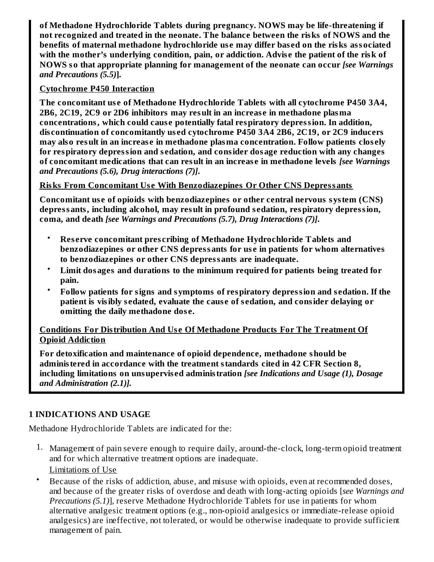**of Methadone Hydrochloride Tablets during pregnancy. NOWS may be life-threatening if not recognized and treated in the neonate. The balance between the risks of NOWS and the benefits of maternal methadone hydrochloride us e may differ bas ed on the risks associated with the mother's underlying condition, pain, or addiction. Advis e the patient of the risk of NOWS so that appropriate planning for management of the neonate can occur** *[see Warnings and Precautions (5.5)***].**

# **Cytochrome P450 Interaction**

**The concomitant us e of Methadone Hydrochloride Tablets with all cytochrome P450 3A4, 2B6, 2C19, 2C9 or 2D6 inhibitors may result in an increas e in methadone plasma concentrations, which could caus e potentially fatal respiratory depression. In addition, dis continuation of concomitantly us ed cytochrome P450 3A4 2B6, 2C19, or 2C9 inducers may also result in an increas e in methadone plasma concentration. Follow patients clos ely for respiratory depression and s edation, and consider dosage reduction with any changes of concomitant medications that can result in an increas e in methadone levels** *[see Warnings and Precautions (5.6), Drug interactions (7)]***.**

## **Risks From Concomitant Us e With Benzodiazepines Or Other CNS Depressants**

**Concomitant us e of opioids with benzodiazepines or other central nervous system (CNS) depressants, including alcohol, may result in profound s edation, respiratory depression, coma, and death** *[see Warnings and Precautions (5.7), Drug Interactions (7)]***.**

- **Res erve concomitant pres cribing of Methadone Hydrochloride Tablets and benzodiazepines or other CNS depressants for us e in patients for whom alternatives to benzodiazepines or other CNS depressants are inadequate.**
- **Limit dosages and durations to the minimum required for patients being treated for pain.**
- **Follow patients for signs and symptoms of respiratory depression and s edation. If the patient is visibly s edated, evaluate the caus e of s edation, and consider delaying or omitting the daily methadone dos e.**

#### **Conditions For Distribution And Us e Of Methadone Products For The Treatment Of Opioid Addiction**

**For detoxification and maintenance of opioid dependence, methadone should be administered in accordance with the treatment standards cited in 42 CFR Section 8, including limitations on unsupervis ed administration** *[see Indications and Usage (1), Dosage and Administration (2.1)].*

# **1 INDICATIONS AND USAGE**

Methadone Hydrochloride Tablets are indicated for the:

- 1. Management of pain severe enough to require daily, around-the-clock, long-term opioid treatment and for which alternative treatment options are inadequate. Limitations of Use
- Because of the risks of addiction, abuse, and misuse with opioids, even at recommended doses, and because of the greater risks of overdose and death with long-acting opioids [*see Warnings and Precautions (5.1)*], reserve Methadone Hydrochloride Tablets for use in patients for whom alternative analgesic treatment options (e.g., non-opioid analgesics or immediate-release opioid analgesics) are ineffective, not tolerated, or would be otherwise inadequate to provide sufficient management of pain.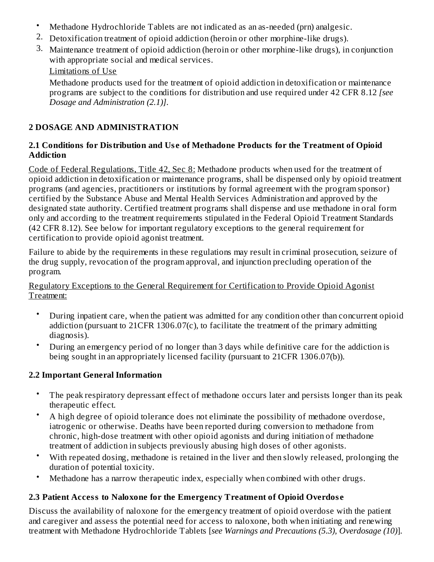- Methadone Hydrochloride Tablets are not indicated as an as-needed (prn) analgesic.
- 2. Detoxification treatment of opioid addiction (heroin or other morphine-like drugs).
- 3. Maintenance treatment of opioid addiction (heroin or other morphine-like drugs), in conjunction with appropriate social and medical services.

# Limitations of Use

Methadone products used for the treatment of opioid addiction in detoxification or maintenance programs are subject to the conditions for distribution and use required under 42 CFR 8.12 *[see Dosage and Administration (2.1)]*.

# **2 DOSAGE AND ADMINISTRATION**

### **2.1 Conditions for Distribution and Us e of Methadone Products for the Treatment of Opioid Addiction**

Code of Federal Regulations, Title 42, Sec 8: Methadone products when used for the treatment of opioid addiction in detoxification or maintenance programs, shall be dispensed only by opioid treatment programs (and agencies, practitioners or institutions by formal agreement with the program sponsor) certified by the Substance Abuse and Mental Health Services Administration and approved by the designated state authority. Certified treatment programs shall dispense and use methadone in oral form only and according to the treatment requirements stipulated in the Federal Opioid Treatment Standards (42 CFR 8.12). See below for important regulatory exceptions to the general requirement for certification to provide opioid agonist treatment.

Failure to abide by the requirements in these regulations may result in criminal prosecution, seizure of the drug supply, revocation of the program approval, and injunction precluding operation of the program.

Regulatory Exceptions to the General Requirement for Certification to Provide Opioid Agonist Treatment:

- During inpatient care, when the patient was admitted for any condition other than concurrent opioid addiction (pursuant to 21CFR 1306.07(c), to facilitate the treatment of the primary admitting diagnosis).
- During an emergency period of no longer than 3 days while definitive care for the addiction is being sought in an appropriately licensed facility (pursuant to 21CFR 1306.07(b)).

# **2.2 Important General Information**

- The peak respiratory depressant effect of methadone occurs later and persists longer than its peak therapeutic effect.
- A high degree of opioid tolerance does not eliminate the possibility of methadone overdose, iatrogenic or otherwise. Deaths have been reported during conversion to methadone from chronic, high-dose treatment with other opioid agonists and during initiation of methadone treatment of addiction in subjects previously abusing high doses of other agonists.
- With repeated dosing, methadone is retained in the liver and then slowly released, prolonging the duration of potential toxicity.
- Methadone has a narrow therapeutic index, especially when combined with other drugs.

# **2.3 Patient Access to Naloxone for the Emergency Treatment of Opioid Overdos e**

Discuss the availability of naloxone for the emergency treatment of opioid overdose with the patient and caregiver and assess the potential need for access to naloxone, both when initiating and renewing treatment with Methadone Hydrochloride Tablets [*see Warnings and Precautions (5.3), Overdosage (10)*].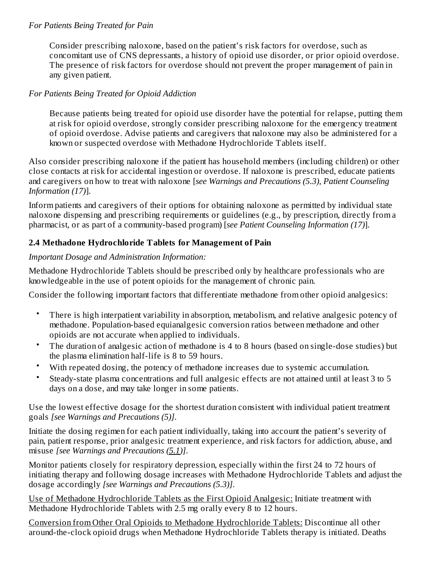#### *For Patients Being Treated for Pain*

Consider prescribing naloxone, based on the patient's risk factors for overdose, such as concomitant use of CNS depressants, a history of opioid use disorder, or prior opioid overdose. The presence of risk factors for overdose should not prevent the proper management of pain in any given patient.

### *For Patients Being Treated for Opioid Addiction*

Because patients being treated for opioid use disorder have the potential for relapse, putting them at risk for opioid overdose, strongly consider prescribing naloxone for the emergency treatment of opioid overdose. Advise patients and caregivers that naloxone may also be administered for a known or suspected overdose with Methadone Hydrochloride Tablets itself.

Also consider prescribing naloxone if the patient has household members (including children) or other close contacts at risk for accidental ingestion or overdose. If naloxone is prescribed, educate patients and caregivers on how to treat with naloxone [*see Warnings and Precautions (5.3), Patient Counseling Information (17)*].

Inform patients and caregivers of their options for obtaining naloxone as permitted by individual state naloxone dispensing and prescribing requirements or guidelines (e.g., by prescription, directly from a pharmacist, or as part of a community-based program) [*see Patient Counseling Information (17)*].

## **2.4 Methadone Hydrochloride Tablets for Management of Pain**

#### *Important Dosage and Administration Information:*

Methadone Hydrochloride Tablets should be prescribed only by healthcare professionals who are knowledgeable in the use of potent opioids for the management of chronic pain.

Consider the following important factors that differentiate methadone from other opioid analgesics:

- There is high interpatient variability in absorption, metabolism, and relative analgesic potency of methadone. Population-based equianalgesic conversion ratios between methadone and other opioids are not accurate when applied to individuals.
- The duration of analgesic action of methadone is 4 to 8 hours (based on single-dose studies) but the plasma elimination half-life is 8 to 59 hours.
- With repeated dosing, the potency of methadone increases due to systemic accumulation.
- Steady-state plasma concentrations and full analgesic effects are not attained until at least 3 to 5 days on a dose, and may take longer in some patients.

Use the lowest effective dosage for the shortest duration consistent with individual patient treatment goals *[see Warnings and Precautions (5)]*.

Initiate the dosing regimen for each patient individually, taking into account the patient's severity of pain, patient response, prior analgesic treatment experience, and risk factors for addiction, abuse, and misuse *[see Warnings and Precautions (5.1)]*.

Monitor patients closely for respiratory depression, especially within the first 24 to 72 hours of initiating therapy and following dosage increases with Methadone Hydrochloride Tablets and adjust the dosage accordingly *[see Warnings and Precautions (5.3)]*.

Use of Methadone Hydrochloride Tablets as the First Opioid Analgesic: Initiate treatment with Methadone Hydrochloride Tablets with 2.5 mg orally every 8 to 12 hours.

Conversion from Other Oral Opioids to Methadone Hydrochloride Tablets: Discontinue all other around-the-clock opioid drugs when Methadone Hydrochloride Tablets therapy is initiated. Deaths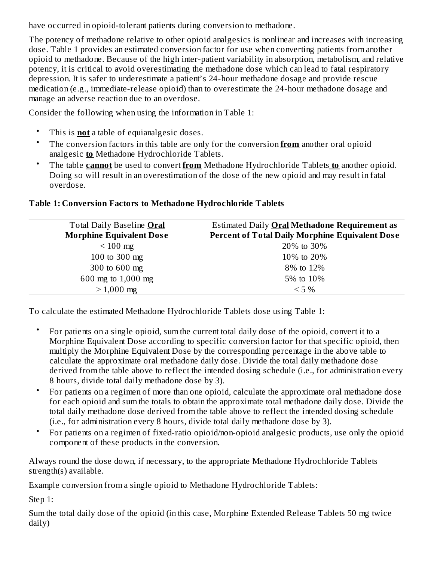have occurred in opioid-tolerant patients during conversion to methadone.

The potency of methadone relative to other opioid analgesics is nonlinear and increases with increasing dose. Table 1 provides an estimated conversion factor for use when converting patients from another opioid to methadone. Because of the high inter-patient variability in absorption, metabolism, and relative potency, it is critical to avoid overestimating the methadone dose which can lead to fatal respiratory depression. It is safer to underestimate a patient's 24-hour methadone dosage and provide rescue medication (e.g., immediate-release opioid) than to overestimate the 24-hour methadone dosage and manage an adverse reaction due to an overdose.

Consider the following when using the information in Table 1:

- This is **not** a table of equianalgesic doses.
- The conversion factors in this table are only for the conversion **from** another oral opioid analgesic **to** Methadone Hydrochloride Tablets.
- The table **cannot** be used to convert **from** Methadone Hydrochloride Tablets **to** another opioid. Doing so will result in an overestimation of the dose of the new opioid and may result in fatal overdose.

#### Total Daily Baseline **Oral Morphine Equivalent Dos e** Estimated Daily **Oral Methadone Requirement as Percent of Total Daily Morphine Equivalent Dos e**  $< 100 \text{ mg}$  20% to 30% 100 to 300 mg 10% to 20% 300 to 600 mg 8% to 12% 600 mg to 1,000 mg 5% to 10%  $> 1,000 \text{ mg}$   $< 5\%$

#### **Table 1: Conversion Factors to Methadone Hydrochloride Tablets**

To calculate the estimated Methadone Hydrochloride Tablets dose using Table 1:

- For patients on a single opioid, sum the current total daily dose of the opioid, convert it to a Morphine Equivalent Dose according to specific conversion factor for that specific opioid, then multiply the Morphine Equivalent Dose by the corresponding percentage in the above table to calculate the approximate oral methadone daily dose. Divide the total daily methadone dose derived from the table above to reflect the intended dosing schedule (i.e., for administration every 8 hours, divide total daily methadone dose by 3).
- For patients on a regimen of more than one opioid, calculate the approximate oral methadone dose for each opioid and sum the totals to obtain the approximate total methadone daily dose. Divide the total daily methadone dose derived from the table above to reflect the intended dosing schedule (i.e., for administration every 8 hours, divide total daily methadone dose by 3).
- For patients on a regimen of fixed-ratio opioid/non-opioid analgesic products, use only the opioid component of these products in the conversion.

Always round the dose down, if necessary, to the appropriate Methadone Hydrochloride Tablets strength(s) available.

Example conversion from a single opioid to Methadone Hydrochloride Tablets:

Step 1:

Sum the total daily dose of the opioid (in this case, Morphine Extended Release Tablets 50 mg twice daily)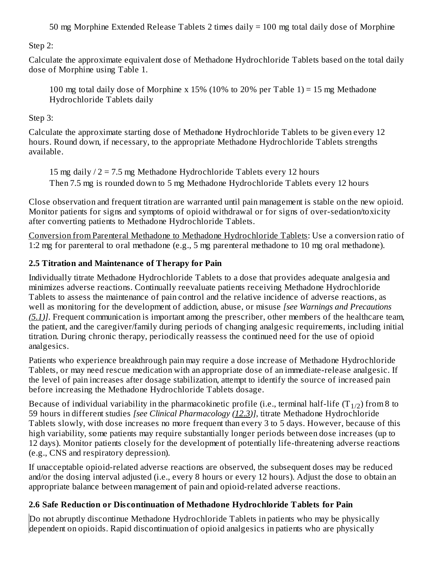50 mg Morphine Extended Release Tablets 2 times daily = 100 mg total daily dose of Morphine

Step 2:

Calculate the approximate equivalent dose of Methadone Hydrochloride Tablets based on the total daily dose of Morphine using Table 1.

100 mg total daily dose of Morphine x 15% (10% to 20% per Table 1) = 15 mg Methadone Hydrochloride Tablets daily

# Step 3:

Calculate the approximate starting dose of Methadone Hydrochloride Tablets to be given every 12 hours. Round down, if necessary, to the appropriate Methadone Hydrochloride Tablets strengths available.

15 mg daily / 2 = 7.5 mg Methadone Hydrochloride Tablets every 12 hours Then 7.5 mg is rounded down to 5 mg Methadone Hydrochloride Tablets every 12 hours

Close observation and frequent titration are warranted until pain management is stable on the new opioid. Monitor patients for signs and symptoms of opioid withdrawal or for signs of over-sedation/toxicity after converting patients to Methadone Hydrochloride Tablets.

Conversion from Parenteral Methadone to Methadone Hydrochloride Tablets: Use a conversion ratio of 1:2 mg for parenteral to oral methadone (e.g., 5 mg parenteral methadone to 10 mg oral methadone).

# **2.5 Titration and Maintenance of Therapy for Pain**

Individually titrate Methadone Hydrochloride Tablets to a dose that provides adequate analgesia and minimizes adverse reactions. Continually reevaluate patients receiving Methadone Hydrochloride Tablets to assess the maintenance of pain control and the relative incidence of adverse reactions, as well as monitoring for the development of addiction, abuse, or misuse *[see Warnings and Precautions (5.1)]*. Frequent communication is important among the prescriber, other members of the healthcare team, the patient, and the caregiver/family during periods of changing analgesic requirements, including initial titration. During chronic therapy, periodically reassess the continued need for the use of opioid analgesics.

Patients who experience breakthrough pain may require a dose increase of Methadone Hydrochloride Tablets, or may need rescue medication with an appropriate dose of an immediate-release analgesic. If the level of pain increases after dosage stabilization, attempt to identify the source of increased pain before increasing the Methadone Hydrochloride Tablets dosage.

Because of individual variability in the pharmacokinetic profile (i.e., terminal half-life (T $_{\rm 1/2})$  from 8 to 59 hours in different studies *[see Clinical Pharmacology (12.3)]*, titrate Methadone Hydrochloride Tablets slowly, with dose increases no more frequent than every 3 to 5 days. However, because of this high variability, some patients may require substantially longer periods between dose increases (up to 12 days). Monitor patients closely for the development of potentially life-threatening adverse reactions (e.g., CNS and respiratory depression).

If unacceptable opioid-related adverse reactions are observed, the subsequent doses may be reduced and/or the dosing interval adjusted (i.e., every 8 hours or every 12 hours). Adjust the dose to obtain an appropriate balance between management of pain and opioid-related adverse reactions.

# **2.6 Safe Reduction or Dis continuation of Methadone Hydrochloride Tablets for Pain**

Do not abruptly discontinue Methadone Hydrochloride Tablets in patients who may be physically dependent on opioids. Rapid discontinuation of opioid analgesics in patients who are physically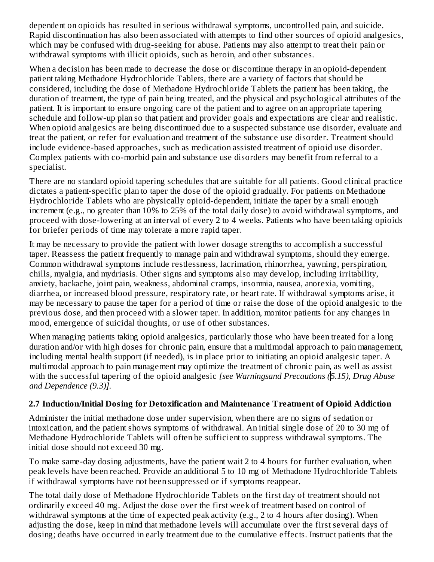dependent on opioids has resulted in serious withdrawal symptoms, uncontrolled pain, and suicide. Rapid discontinuation has also been associated with attempts to find other sources of opioid analgesics, which may be confused with drug-seeking for abuse. Patients may also attempt to treat their pain or withdrawal symptoms with illicit opioids, such as heroin, and other substances.

When a decision has been made to decrease the dose or discontinue therapy in an opioid-dependent patient taking Methadone Hydrochloride Tablets, there are a variety of factors that should be considered, including the dose of Methadone Hydrochloride Tablets the patient has been taking, the duration of treatment, the type of pain being treated, and the physical and psychological attributes of the patient. It is important to ensure ongoing care of the patient and to agree on an appropriate tapering schedule and follow-up plan so that patient and provider goals and expectations are clear and realistic. When opioid analgesics are being discontinued due to a suspected substance use disorder, evaluate and treat the patient, or refer for evaluation and treatment of the substance use disorder. Treatment should include evidence-based approaches, such as medication assisted treatment of opioid use disorder. Complex patients with co-morbid pain and substance use disorders may benefit from referral to a specialist.

There are no standard opioid tapering schedules that are suitable for all patients. Good clinical practice dictates a patient-specific plan to taper the dose of the opioid gradually. For patients on Methadone Hydrochloride Tablets who are physically opioid-dependent, initiate the taper by a small enough increment (e.g., no greater than 10% to 25% of the total daily dose) to avoid withdrawal symptoms, and proceed with dose-lowering at an interval of every 2 to 4 weeks. Patients who have been taking opioids for briefer periods of time may tolerate a more rapid taper.

It may be necessary to provide the patient with lower dosage strengths to accomplish a successful taper. Reassess the patient frequently to manage pain and withdrawal symptoms, should they emerge. Common withdrawal symptoms include restlessness, lacrimation, rhinorrhea, yawning, perspiration, chills, myalgia, and mydriasis. Other signs and symptoms also may develop, including irritability, anxiety, backache, joint pain, weakness, abdominal cramps, insomnia, nausea, anorexia, vomiting, diarrhea, or increased blood pressure, respiratory rate, or heart rate. If withdrawal symptoms arise, it may be necessary to pause the taper for a period of time or raise the dose of the opioid analgesic to the previous dose, and then proceed with a slower taper. In addition, monitor patients for any changes in mood, emergence of suicidal thoughts, or use of other substances.

When managing patients taking opioid analgesics, particularly those who have been treated for a long duration and/or with high doses for chronic pain, ensure that a multimodal approach to pain management, including mental health support (if needed), is in place prior to initiating an opioid analgesic taper. A multimodal approach to pain management may optimize the treatment of chronic pain, as well as assist with the successful tapering of the opioid analgesic *[see Warningsand Precautions (5.15), Drug Abuse and Dependence (9.3)].*

#### **2.7 Induction/Initial Dosing for Detoxification and Maintenance Treatment of Opioid Addiction**

Administer the initial methadone dose under supervision, when there are no signs of sedation or intoxication, and the patient shows symptoms of withdrawal. An initial single dose of 20 to 30 mg of Methadone Hydrochloride Tablets will often be sufficient to suppress withdrawal symptoms. The initial dose should not exceed 30 mg.

To make same-day dosing adjustments, have the patient wait 2 to 4 hours for further evaluation, when peak levels have been reached. Provide an additional 5 to 10 mg of Methadone Hydrochloride Tablets if withdrawal symptoms have not been suppressed or if symptoms reappear.

The total daily dose of Methadone Hydrochloride Tablets on the first day of treatment should not ordinarily exceed 40 mg. Adjust the dose over the first week of treatment based on control of withdrawal symptoms at the time of expected peak activity (e.g., 2 to 4 hours after dosing). When adjusting the dose, keep in mind that methadone levels will accumulate over the first several days of dosing; deaths have occurred in early treatment due to the cumulative effects. Instruct patients that the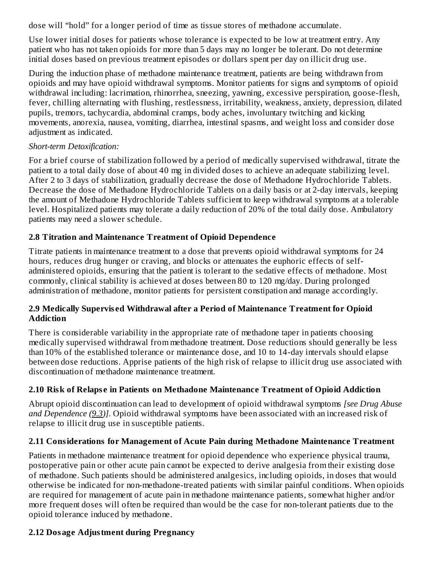dose will "hold" for a longer period of time as tissue stores of methadone accumulate.

Use lower initial doses for patients whose tolerance is expected to be low at treatment entry. Any patient who has not taken opioids for more than 5 days may no longer be tolerant. Do not determine initial doses based on previous treatment episodes or dollars spent per day on illicit drug use.

During the induction phase of methadone maintenance treatment, patients are being withdrawn from opioids and may have opioid withdrawal symptoms. Monitor patients for signs and symptoms of opioid withdrawal including: lacrimation, rhinorrhea, sneezing, yawning, excessive perspiration, goose-flesh, fever, chilling alternating with flushing, restlessness, irritability, weakness, anxiety, depression, dilated pupils, tremors, tachycardia, abdominal cramps, body aches, involuntary twitching and kicking movements, anorexia, nausea, vomiting, diarrhea, intestinal spasms, and weight loss and consider dose adjustment as indicated.

### *Short-term Detoxification:*

For a brief course of stabilization followed by a period of medically supervised withdrawal, titrate the patient to a total daily dose of about 40 mg in divided doses to achieve an adequate stabilizing level. After 2 to 3 days of stabilization, gradually decrease the dose of Methadone Hydrochloride Tablets. Decrease the dose of Methadone Hydrochloride Tablets on a daily basis or at 2-day intervals, keeping the amount of Methadone Hydrochloride Tablets sufficient to keep withdrawal symptoms at a tolerable level. Hospitalized patients may tolerate a daily reduction of 20% of the total daily dose. Ambulatory patients may need a slower schedule.

# **2.8 Titration and Maintenance Treatment of Opioid Dependence**

Titrate patients in maintenance treatment to a dose that prevents opioid withdrawal symptoms for 24 hours, reduces drug hunger or craving, and blocks or attenuates the euphoric effects of selfadministered opioids, ensuring that the patient is tolerant to the sedative effects of methadone. Most commonly, clinical stability is achieved at doses between 80 to 120 mg/day. During prolonged administration of methadone, monitor patients for persistent constipation and manage accordingly.

## **2.9 Medically Supervis ed Withdrawal after a Period of Maintenance Treatment for Opioid Addiction**

There is considerable variability in the appropriate rate of methadone taper in patients choosing medically supervised withdrawal from methadone treatment. Dose reductions should generally be less than 10% of the established tolerance or maintenance dose, and 10 to 14-day intervals should elapse between dose reductions. Apprise patients of the high risk of relapse to illicit drug use associated with discontinuation of methadone maintenance treatment.

# **2.10 Risk of Relaps e in Patients on Methadone Maintenance Treatment of Opioid Addiction**

Abrupt opioid discontinuation can lead to development of opioid withdrawal symptoms *[see Drug Abuse and Dependence (9.3)]*. Opioid withdrawal symptoms have been associated with an increased risk of relapse to illicit drug use in susceptible patients.

# **2.11 Considerations for Management of Acute Pain during Methadone Maintenance Treatment**

Patients in methadone maintenance treatment for opioid dependence who experience physical trauma, postoperative pain or other acute pain cannot be expected to derive analgesia from their existing dose of methadone. Such patients should be administered analgesics, including opioids, in doses that would otherwise be indicated for non-methadone-treated patients with similar painful conditions. When opioids are required for management of acute pain in methadone maintenance patients, somewhat higher and/or more frequent doses will often be required than would be the case for non-tolerant patients due to the opioid tolerance induced by methadone.

# **2.12 Dosage Adjustment during Pregnancy**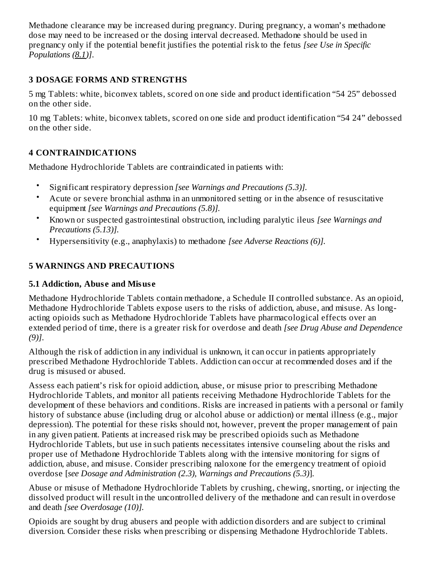Methadone clearance may be increased during pregnancy. During pregnancy, a woman's methadone dose may need to be increased or the dosing interval decreased. Methadone should be used in pregnancy only if the potential benefit justifies the potential risk to the fetus *[see Use in Specific Populations (8.1)]*.

# **3 DOSAGE FORMS AND STRENGTHS**

5 mg Tablets: white, biconvex tablets, scored on one side and product identification "54 25" debossed on the other side.

10 mg Tablets: white, biconvex tablets, scored on one side and product identification "54 24" debossed on the other side.

# **4 CONTRAINDICATIONS**

Methadone Hydrochloride Tablets are contraindicated in patients with:

- Significant respiratory depression *[see Warnings and Precautions (5.3)].*
- Acute or severe bronchial asthma in an unmonitored setting or in the absence of resuscitative equipment *[see Warnings and Precautions (5.8)].*
- Known or suspected gastrointestinal obstruction, including paralytic ileus *[see Warnings and Precautions (5.13)].*
- Hypersensitivity (e.g., anaphylaxis) to methadone *[see Adverse Reactions (6)].*

# **5 WARNINGS AND PRECAUTIONS**

# **5.1 Addiction, Abus e and Misus e**

Methadone Hydrochloride Tablets contain methadone, a Schedule II controlled substance. As an opioid, Methadone Hydrochloride Tablets expose users to the risks of addiction, abuse, and misuse*.* As longacting opioids such as Methadone Hydrochloride Tablets have pharmacological effects over an extended period of time, there is a greater risk for overdose and death *[see Drug Abuse and Dependence (9)]*.

Although the risk of addiction in any individual is unknown, it can occur in patients appropriately prescribed Methadone Hydrochloride Tablets. Addiction can occur at recommended doses and if the drug is misused or abused.

Assess each patient's risk for opioid addiction, abuse, or misuse prior to prescribing Methadone Hydrochloride Tablets, and monitor all patients receiving Methadone Hydrochloride Tablets for the development of these behaviors and conditions. Risks are increased in patients with a personal or family history of substance abuse (including drug or alcohol abuse or addiction) or mental illness (e.g., major depression). The potential for these risks should not, however, prevent the proper management of pain in any given patient. Patients at increased risk may be prescribed opioids such as Methadone Hydrochloride Tablets, but use in such patients necessitates intensive counseling about the risks and proper use of Methadone Hydrochloride Tablets along with the intensive monitoring for signs of addiction, abuse, and misuse. Consider prescribing naloxone for the emergency treatment of opioid overdose [*see Dosage and Administration (2.3), Warnings and Precautions (5.3)*].

Abuse or misuse of Methadone Hydrochloride Tablets by crushing, chewing, snorting, or injecting the dissolved product will result in the uncontrolled delivery of the methadone and can result in overdose and death *[see Overdosage (10)].*

Opioids are sought by drug abusers and people with addiction disorders and are subject to criminal diversion. Consider these risks when prescribing or dispensing Methadone Hydrochloride Tablets.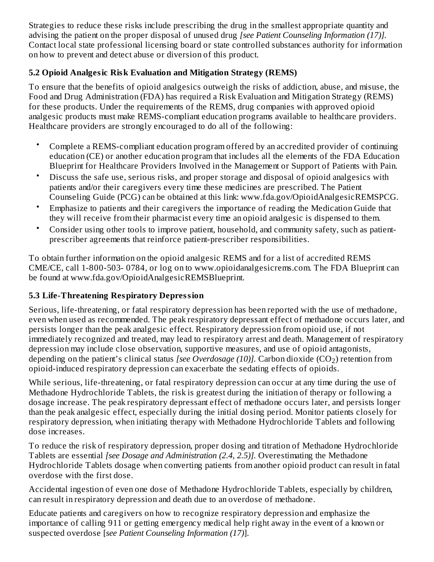Strategies to reduce these risks include prescribing the drug in the smallest appropriate quantity and advising the patient on the proper disposal of unused drug *[see Patient Counseling Information (17)].* Contact local state professional licensing board or state controlled substances authority for information on how to prevent and detect abuse or diversion of this product.

# **5.2 Opioid Analgesic Risk Evaluation and Mitigation Strategy (REMS)**

To ensure that the benefits of opioid analgesics outweigh the risks of addiction, abuse, and misuse, the Food and Drug Administration (FDA) has required a Risk Evaluation and Mitigation Strategy (REMS) for these products. Under the requirements of the REMS, drug companies with approved opioid analgesic products must make REMS-compliant education programs available to healthcare providers. Healthcare providers are strongly encouraged to do all of the following:

- Complete a REMS-compliant education program offered by an accredited provider of continuing education (CE) or another education program that includes all the elements of the FDA Education Blueprint for Healthcare Providers Involved in the Management or Support of Patients with Pain.
- Discuss the safe use, serious risks, and proper storage and disposal of opioid analgesics with patients and/or their caregivers every time these medicines are prescribed. The Patient Counseling Guide (PCG) can be obtained at this link: www.fda.gov/OpioidAnalgesicREMSPCG.
- Emphasize to patients and their caregivers the importance of reading the Medication Guide that they will receive from their pharmacist every time an opioid analgesic is dispensed to them.
- Consider using other tools to improve patient, household, and community safety, such as patientprescriber agreements that reinforce patient-prescriber responsibilities.

To obtain further information on the opioid analgesic REMS and for a list of accredited REMS CME/CE, call 1-800-503- 0784, or log on to www.opioidanalgesicrems.com. The FDA Blueprint can be found at www.fda.gov/OpioidAnalgesicREMSBlueprint.

# **5.3 Life-Threatening Respiratory Depression**

Serious, life-threatening, or fatal respiratory depression has been reported with the use of methadone, even when used as recommended. The peak respiratory depressant effect of methadone occurs later, and persists longer than the peak analgesic effect. Respiratory depression from opioid use, if not immediately recognized and treated, may lead to respiratory arrest and death. Management of respiratory depression may include close observation, supportive measures, and use of opioid antagonists, depending on the patient's clinical status *[see Overdosage (10)]*. Carbon dioxide (CO<sub>2</sub>) retention from opioid-induced respiratory depression can exacerbate the sedating effects of opioids.

While serious, life-threatening, or fatal respiratory depression can occur at any time during the use of Methadone Hydrochloride Tablets, the risk is greatest during the initiation of therapy or following a dosage increase. The peak respiratory depressant effect of methadone occurs later, and persists longer than the peak analgesic effect, especially during the initial dosing period. Monitor patients closely for respiratory depression, when initiating therapy with Methadone Hydrochloride Tablets and following dose increases.

To reduce the risk of respiratory depression, proper dosing and titration of Methadone Hydrochloride Tablets are essential *[see Dosage and Administration (2.4, 2.5)].* Overestimating the Methadone Hydrochloride Tablets dosage when converting patients from another opioid product can result in fatal overdose with the first dose.

Accidental ingestion of even one dose of Methadone Hydrochloride Tablets, especially by children, can result in respiratory depression and death due to an overdose of methadone.

Educate patients and caregivers on how to recognize respiratory depression and emphasize the importance of calling 911 or getting emergency medical help right away in the event of a known or suspected overdose [*see Patient Counseling Information (17)*].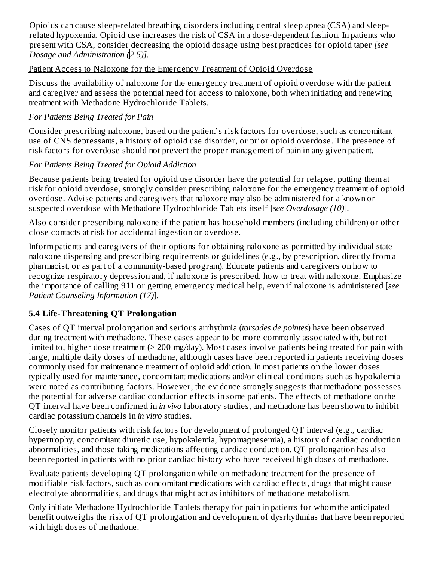Opioids can cause sleep-related breathing disorders including central sleep apnea (CSA) and sleeprelated hypoxemia. Opioid use increases the risk of CSA in a dose-dependent fashion. In patients who present with CSA, consider decreasing the opioid dosage using best practices for opioid taper *[see Dosage and Administration (2.5)].*

## Patient Access to Naloxone for the Emergency Treatment of Opioid Overdose

Discuss the availability of naloxone for the emergency treatment of opioid overdose with the patient and caregiver and assess the potential need for access to naloxone, both when initiating and renewing treatment with Methadone Hydrochloride Tablets.

# *For Patients Being Treated for Pain*

Consider prescribing naloxone, based on the patient's risk factors for overdose, such as concomitant use of CNS depressants, a history of opioid use disorder, or prior opioid overdose. The presence of risk factors for overdose should not prevent the proper management of pain in any given patient.

## *For Patients Being Treated for Opioid Addiction*

Because patients being treated for opioid use disorder have the potential for relapse, putting them at risk for opioid overdose, strongly consider prescribing naloxone for the emergency treatment of opioid overdose. Advise patients and caregivers that naloxone may also be administered for a known or suspected overdose with Methadone Hydrochloride Tablets itself [*see Overdosage (10)*].

Also consider prescribing naloxone if the patient has household members (including children) or other close contacts at risk for accidental ingestion or overdose.

Inform patients and caregivers of their options for obtaining naloxone as permitted by individual state naloxone dispensing and prescribing requirements or guidelines (e.g., by prescription, directly from a pharmacist, or as part of a community-based program). Educate patients and caregivers on how to recognize respiratory depression and, if naloxone is prescribed, how to treat with naloxone. Emphasize the importance of calling 911 or getting emergency medical help, even if naloxone is administered [*see Patient Counseling Information (17)*].

# **5.4 Life-Threatening QT Prolongation**

Cases of QT interval prolongation and serious arrhythmia (*torsades de pointes*) have been observed during treatment with methadone. These cases appear to be more commonly associated with, but not limited to, higher dose treatment (> 200 mg/day). Most cases involve patients being treated for pain with large, multiple daily doses of methadone, although cases have been reported in patients receiving doses commonly used for maintenance treatment of opioid addiction. In most patients on the lower doses typically used for maintenance, concomitant medications and/or clinical conditions such as hypokalemia were noted as contributing factors. However, the evidence strongly suggests that methadone possesses the potential for adverse cardiac conduction effects in some patients. The effects of methadone on the QT interval have been confirmed in *in vivo* laboratory studies, and methadone has been shown to inhibit cardiac potassium channels in *in vitro* studies.

Closely monitor patients with risk factors for development of prolonged QT interval (e.g., cardiac hypertrophy, concomitant diuretic use, hypokalemia, hypomagnesemia), a history of cardiac conduction abnormalities, and those taking medications affecting cardiac conduction. QT prolongation has also been reported in patients with no prior cardiac history who have received high doses of methadone.

Evaluate patients developing QT prolongation while on methadone treatment for the presence of modifiable risk factors, such as concomitant medications with cardiac effects, drugs that might cause electrolyte abnormalities, and drugs that might act as inhibitors of methadone metabolism.

Only initiate Methadone Hydrochloride Tablets therapy for pain in patients for whom the anticipated benefit outweighs the risk of QT prolongation and development of dysrhythmias that have been reported with high doses of methadone.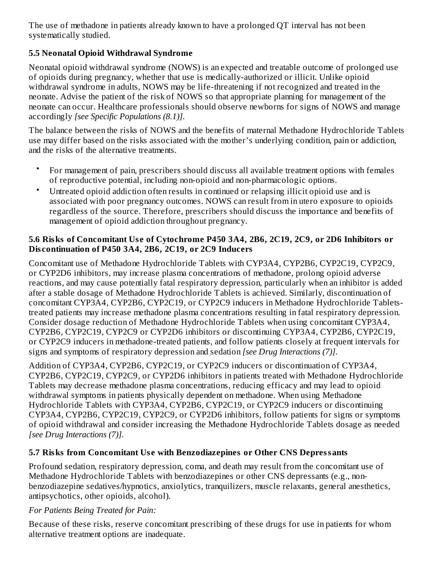The use of methadone in patients already known to have a prolonged QT interval has not been systematically studied.

# **5.5 Neonatal Opioid Withdrawal Syndrome**

Neonatal opioid withdrawal syndrome (NOWS) is an expected and treatable outcome of prolonged use of opioids during pregnancy, whether that use is medically-authorized or illicit. Unlike opioid withdrawal syndrome in adults, NOWS may be life-threatening if not recognized and treated in the neonate. Advise the patient of the risk of NOWS so that appropriate planning for management of the neonate can occur. Healthcare professionals should observe newborns for signs of NOWS and manage accordingly *[see Specific Populations (8.1)]*.

The balance between the risks of NOWS and the benefits of maternal Methadone Hydrochloride Tablets use may differ based on the risks associated with the mother's underlying condition, pain or addiction, and the risks of the alternative treatments.

- For management of pain, prescribers should discuss all available treatment options with females of reproductive potential, including non-opioid and non-pharmacologic options.
- Untreated opioid addiction often results in continued or relapsing illicit opioid use and is associated with poor pregnancy outcomes. NOWS can result from in utero exposure to opioids regardless of the source. Therefore, prescribers should discuss the importance and benefits of management of opioid addiction throughout pregnancy.

# **5.6 Risks of Concomitant Us e of Cytochrome P450 3A4, 2B6, 2C19, 2C9, or 2D6 Inhibitors or Dis continuation of P450 3A4, 2B6, 2C19, or 2C9 Inducers**

Concomitant use of Methadone Hydrochloride Tablets with CYP3A4, CYP2B6, CYP2C19, CYP2C9, or CYP2D6 inhibitors, may increase plasma concentrations of methadone, prolong opioid adverse reactions, and may cause potentially fatal respiratory depression, particularly when an inhibitor is added after a stable dosage of Methadone Hydrochloride Tablets is achieved. Similarly, discontinuation of concomitant CYP3A4, CYP2B6, CYP2C19, or CYP2C9 inducers in Methadone Hydrochloride Tabletstreated patients may increase methadone plasma concentrations resulting in fatal respiratory depression. Consider dosage reduction of Methadone Hydrochloride Tablets when using concomitant CYP3A4, CYP2B6, CYP2C19, CYP2C9 or CYP2D6 inhibitors or discontinuing CYP3A4, CYP2B6, CYP2C19, or CYP2C9 inducers in methadone-treated patients, and follow patients closely at frequent intervals for signs and symptoms of respiratory depression and sedation *[see Drug Interactions (7)]*.

Addition of CYP3A4, CYP2B6, CYP2C19, or CYP2C9 inducers or discontinuation of CYP3A4, CYP2B6, CYP2C19, CYP2C9, or CYP2D6 inhibitors in patients treated with Methadone Hydrochloride Tablets may decrease methadone plasma concentrations, reducing efficacy and may lead to opioid withdrawal symptoms in patients physically dependent on methadone. When using Methadone Hydrochloride Tablets with CYP3A4, CYP2B6, CYP2C19, or CYP2C9 inducers or discontinuing CYP3A4, CYP2B6, CYP2C19, CYP2C9, or CYP2D6 inhibitors, follow patients for signs or symptoms of opioid withdrawal and consider increasing the Methadone Hydrochloride Tablets dosage as needed *[see Drug Interactions (7)].*

# **5.7 Risks from Concomitant Us e with Benzodiazepines or Other CNS Depressants**

Profound sedation, respiratory depression, coma, and death may result from the concomitant use of Methadone Hydrochloride Tablets with benzodiazepines or other CNS depressants (e.g., nonbenzodiazepine sedatives/hypnotics, anxiolytics, tranquilizers, muscle relaxants, general anesthetics, antipsychotics, other opioids, alcohol).

# *For Patients Being Treated for Pain:*

Because of these risks, reserve concomitant prescribing of these drugs for use in patients for whom alternative treatment options are inadequate.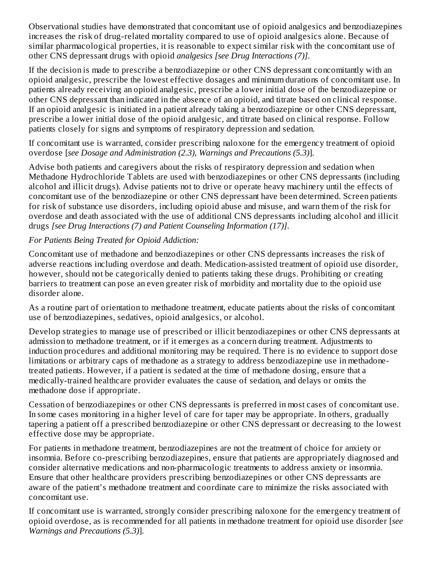Observational studies have demonstrated that concomitant use of opioid analgesics and benzodiazepines increases the risk of drug-related mortality compared to use of opioid analgesics alone. Because of similar pharmacological properties, it is reasonable to expect similar risk with the concomitant use of other CNS depressant drugs with opioid *analgesics [see Drug Interactions (7)]*.

If the decision is made to prescribe a benzodiazepine or other CNS depressant concomitantly with an opioid analgesic, prescribe the lowest effective dosages and minimum durations of concomitant use. In patients already receiving an opioid analgesic, prescribe a lower initial dose of the benzodiazepine or other CNS depressant than indicated in the absence of an opioid, and titrate based on clinical response. If an opioid analgesic is initiated in a patient already taking a benzodiazepine or other CNS depressant, prescribe a lower initial dose of the opioid analgesic, and titrate based on clinical response. Follow patients closely for signs and symptoms of respiratory depression and sedation.

If concomitant use is warranted, consider prescribing naloxone for the emergency treatment of opioid overdose [*see Dosage and Administration (2.3), Warnings and Precautions (5.3)*].

Advise both patients and caregivers about the risks of respiratory depression and sedation when Methadone Hydrochloride Tablets are used with benzodiazepines or other CNS depressants (including alcohol and illicit drugs). Advise patients not to drive or operate heavy machinery until the effects of concomitant use of the benzodiazepine or other CNS depressant have been determined. Screen patients for risk of substance use disorders, including opioid abuse and misuse, and warn them of the risk for overdose and death associated with the use of additional CNS depressants including alcohol and illicit drugs *[see Drug Interactions (7) and Patient Counseling Information (17)]*.

#### *For Patients Being Treated for Opioid Addiction:*

Concomitant use of methadone and benzodiazepines or other CNS depressants increases the risk of adverse reactions including overdose and death. Medication-assisted treatment of opioid use disorder, however, should not be categorically denied to patients taking these drugs. Prohibiting or creating barriers to treatment can pose an even greater risk of morbidity and mortality due to the opioid use disorder alone.

As a routine part of orientation to methadone treatment, educate patients about the risks of concomitant use of benzodiazepines, sedatives, opioid analgesics, or alcohol.

Develop strategies to manage use of prescribed or illicit benzodiazepines or other CNS depressants at admission to methadone treatment, or if it emerges as a concern during treatment. Adjustments to induction procedures and additional monitoring may be required. There is no evidence to support dose limitations or arbitrary caps of methadone as a strategy to address benzodiazepine use in methadonetreated patients. However, if a patient is sedated at the time of methadone dosing, ensure that a medically-trained healthcare provider evaluates the cause of sedation, and delays or omits the methadone dose if appropriate.

Cessation of benzodiazepines or other CNS depressants is preferred in most cases of concomitant use. In some cases monitoring in a higher level of care for taper may be appropriate. In others, gradually tapering a patient off a prescribed benzodiazepine or other CNS depressant or decreasing to the lowest effective dose may be appropriate.

For patients in methadone treatment, benzodiazepines are not the treatment of choice for anxiety or insomnia. Before co-prescribing benzodiazepines, ensure that patients are appropriately diagnosed and consider alternative medications and non-pharmacologic treatments to address anxiety or insomnia. Ensure that other healthcare providers prescribing benzodiazepines or other CNS depressants are aware of the patient's methadone treatment and coordinate care to minimize the risks associated with concomitant use.

If concomitant use is warranted, strongly consider prescribing naloxone for the emergency treatment of opioid overdose, as is recommended for all patients in methadone treatment for opioid use disorder [*see Warnings and Precautions (5.3)*].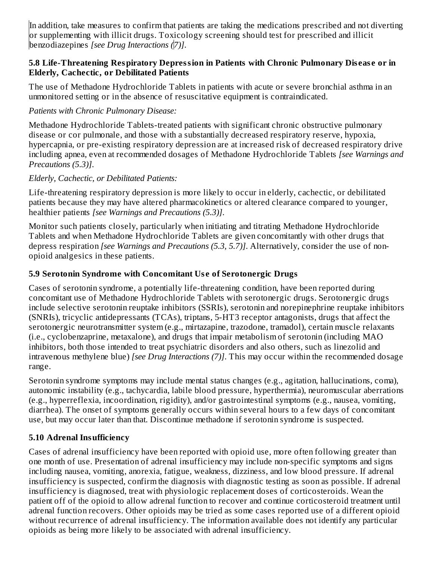In addition, take measures to confirm that patients are taking the medications prescribed and not diverting or supplementing with illicit drugs. Toxicology screening should test for prescribed and illicit benzodiazepines *[see Drug Interactions (7)]*.

#### **5.8 Life-Threatening Respiratory Depression in Patients with Chronic Pulmonary Dis eas e or in Elderly, Cachectic, or Debilitated Patients**

The use of Methadone Hydrochloride Tablets in patients with acute or severe bronchial asthma in an unmonitored setting or in the absence of resuscitative equipment is contraindicated.

# *Patients with Chronic Pulmonary Disease:*

Methadone Hydrochloride Tablets-treated patients with significant chronic obstructive pulmonary disease or cor pulmonale, and those with a substantially decreased respiratory reserve, hypoxia, hypercapnia, or pre-existing respiratory depression are at increased risk of decreased respiratory drive including apnea, even at recommended dosages of Methadone Hydrochloride Tablets *[see Warnings and Precautions (5.3)]*.

# *Elderly, Cachectic, or Debilitated Patients:*

Life-threatening respiratory depression is more likely to occur in elderly, cachectic, or debilitated patients because they may have altered pharmacokinetics or altered clearance compared to younger, healthier patients *[see Warnings and Precautions (5.3)]*.

Monitor such patients closely, particularly when initiating and titrating Methadone Hydrochloride Tablets and when Methadone Hydrochloride Tablets are given concomitantly with other drugs that depress respiration *[see Warnings and Precautions (5.3, 5.7)]*. Alternatively, consider the use of nonopioid analgesics in these patients.

# **5.9 Serotonin Syndrome with Concomitant Us e of Serotonergic Drugs**

Cases of serotonin syndrome, a potentially life-threatening condition, have been reported during concomitant use of Methadone Hydrochloride Tablets with serotonergic drugs. Serotonergic drugs include selective serotonin reuptake inhibitors (SSRIs), serotonin and norepinephrine reuptake inhibitors (SNRIs), tricyclic antidepressants (TCAs), triptans, 5-HT3 receptor antagonists, drugs that affect the serotonergic neurotransmitter system (e.g., mirtazapine, trazodone, tramadol), certain muscle relaxants (i.e., cyclobenzaprine, metaxalone), and drugs that impair metabolism of serotonin (including MAO inhibitors, both those intended to treat psychiatric disorders and also others, such as linezolid and intravenous methylene blue) *[see Drug Interactions (7)]*. This may occur within the recommended dosage range.

Serotonin syndrome symptoms may include mental status changes (e.g., agitation, hallucinations, coma), autonomic instability (e.g., tachycardia, labile blood pressure, hyperthermia), neuromuscular aberrations (e.g., hyperreflexia, incoordination, rigidity), and/or gastrointestinal symptoms (e.g., nausea, vomiting, diarrhea). The onset of symptoms generally occurs within several hours to a few days of concomitant use, but may occur later than that. Discontinue methadone if serotonin syndrome is suspected.

# **5.10 Adrenal Insufficiency**

Cases of adrenal insufficiency have been reported with opioid use, more often following greater than one month of use. Presentation of adrenal insufficiency may include non-specific symptoms and signs including nausea, vomiting, anorexia, fatigue, weakness, dizziness, and low blood pressure. If adrenal insufficiency is suspected, confirm the diagnosis with diagnostic testing as soon as possible. If adrenal insufficiency is diagnosed, treat with physiologic replacement doses of corticosteroids. Wean the patient off of the opioid to allow adrenal function to recover and continue corticosteroid treatment until adrenal function recovers. Other opioids may be tried as some cases reported use of a different opioid without recurrence of adrenal insufficiency. The information available does not identify any particular opioids as being more likely to be associated with adrenal insufficiency.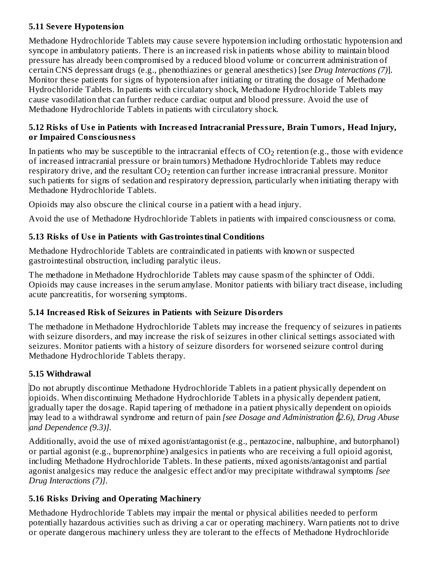# **5.11 Severe Hypotension**

Methadone Hydrochloride Tablets may cause severe hypotension including orthostatic hypotension and syncope in ambulatory patients. There is an increased risk in patients whose ability to maintain blood pressure has already been compromised by a reduced blood volume or concurrent administration of certain CNS depressant drugs (e.g., phenothiazines or general anesthetics) [*see Drug Interactions (7)*]. Monitor these patients for signs of hypotension after initiating or titrating the dosage of Methadone Hydrochloride Tablets. In patients with circulatory shock, Methadone Hydrochloride Tablets may cause vasodilation that can further reduce cardiac output and blood pressure. Avoid the use of Methadone Hydrochloride Tablets in patients with circulatory shock.

### **5.12 Risks of Us e in Patients with Increas ed Intracranial Pressure, Brain Tumors, Head Injury, or Impaired Cons ciousness**

In patients who may be susceptible to the intracranial effects of  $\mathrm{CO}_2$  retention (e.g., those with evidence of increased intracranial pressure or brain tumors) Methadone Hydrochloride Tablets may reduce respiratory drive, and the resultant  $\mathrm{CO}_2$  retention can further increase intracranial pressure. Monitor such patients for signs of sedation and respiratory depression, particularly when initiating therapy with Methadone Hydrochloride Tablets.

Opioids may also obscure the clinical course in a patient with a head injury.

Avoid the use of Methadone Hydrochloride Tablets in patients with impaired consciousness or coma.

# **5.13 Risks of Us e in Patients with Gastrointestinal Conditions**

Methadone Hydrochloride Tablets are contraindicated in patients with known or suspected gastrointestinal obstruction, including paralytic ileus.

The methadone in Methadone Hydrochloride Tablets may cause spasm of the sphincter of Oddi. Opioids may cause increases in the serum amylase. Monitor patients with biliary tract disease, including acute pancreatitis, for worsening symptoms.

# **5.14 Increas ed Risk of Seizures in Patients with Seizure Disorders**

The methadone in Methadone Hydrochloride Tablets may increase the frequency of seizures in patients with seizure disorders, and may increase the risk of seizures in other clinical settings associated with seizures. Monitor patients with a history of seizure disorders for worsened seizure control during Methadone Hydrochloride Tablets therapy.

# **5.15 Withdrawal**

Do not abruptly discontinue Methadone Hydrochloride Tablets in a patient physically dependent on opioids. When discontinuing Methadone Hydrochloride Tablets in a physically dependent patient, gradually taper the dosage. Rapid tapering of methadone in a patient physically dependent on opioids may lead to a withdrawal syndrome and return of pain *[see Dosage and Administration (2.6), Drug Abuse and Dependence (9.3)].*

Additionally, avoid the use of mixed agonist/antagonist (e.g., pentazocine, nalbuphine, and butorphanol) or partial agonist (e.g., buprenorphine) analgesics in patients who are receiving a full opioid agonist, including Methadone Hydrochloride Tablets. In these patients, mixed agonists/antagonist and partial agonist analgesics may reduce the analgesic effect and/or may precipitate withdrawal symptoms *[see Drug Interactions (7)]*.

# **5.16 Risks Driving and Operating Machinery**

Methadone Hydrochloride Tablets may impair the mental or physical abilities needed to perform potentially hazardous activities such as driving a car or operating machinery. Warn patients not to drive or operate dangerous machinery unless they are tolerant to the effects of Methadone Hydrochloride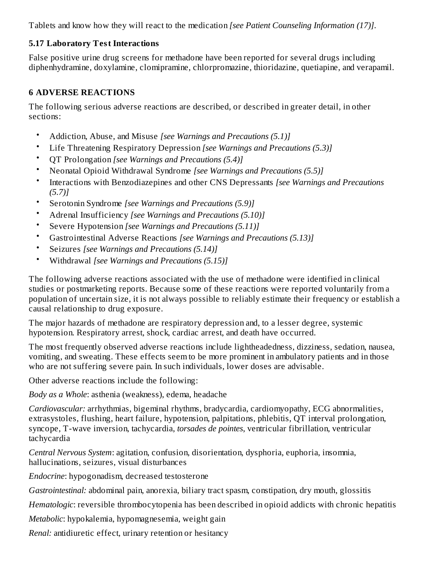Tablets and know how they will react to the medication *[see Patient Counseling Information (17)]*.

# **5.17 Laboratory Test Interactions**

False positive urine drug screens for methadone have been reported for several drugs including diphenhydramine, doxylamine, clomipramine, chlorpromazine, thioridazine, quetiapine, and verapamil.

# **6 ADVERSE REACTIONS**

The following serious adverse reactions are described, or described in greater detail, in other sections:

- Addiction, Abuse, and Misuse *[see Warnings and Precautions (5.1)]*
- Life Threatening Respiratory Depression *[see Warnings and Precautions (5.3)]*
- QT Prolongation *[see Warnings and Precautions (5.4)]*
- Neonatal Opioid Withdrawal Syndrome *[see Warnings and Precautions (5.5)]*
- Interactions with Benzodiazepines and other CNS Depressants *[see Warnings and Precautions (5.7)]*
- Serotonin Syndrome *[see Warnings and Precautions (5.9)]*
- Adrenal Insufficiency *[see Warnings and Precautions (5.10)]*
- Severe Hypotension *[see Warnings and Precautions (5.11)]*
- Gastrointestinal Adverse Reactions *[see Warnings and Precautions (5.13)]*
- Seizures *[see Warnings and Precautions (5.14)]*
- Withdrawal *[see Warnings and Precautions (5.15)]*

The following adverse reactions associated with the use of methadone were identified in clinical studies or postmarketing reports. Because some of these reactions were reported voluntarily from a population of uncertain size, it is not always possible to reliably estimate their frequency or establish a causal relationship to drug exposure.

The major hazards of methadone are respiratory depression and, to a lesser degree, systemic hypotension. Respiratory arrest, shock, cardiac arrest, and death have occurred.

The most frequently observed adverse reactions include lightheadedness, dizziness, sedation, nausea, vomiting, and sweating. These effects seem to be more prominent in ambulatory patients and in those who are not suffering severe pain. In such individuals, lower doses are advisable.

Other adverse reactions include the following:

*Body as a Whole*: asthenia (weakness), edema, headache

*Cardiovascular:* arrhythmias, bigeminal rhythms, bradycardia, cardiomyopathy, ECG abnormalities, extrasystoles, flushing, heart failure, hypotension, palpitations, phlebitis, QT interval prolongation, syncope, T-wave inversion, tachycardia, *torsades de pointes*, ventricular fibrillation, ventricular tachycardia

*Central Nervous System*: agitation, confusion, disorientation, dysphoria, euphoria, insomnia, hallucinations, seizures, visual disturbances

*Endocrine*: hypogonadism, decreased testosterone

*Gastrointestinal:* abdominal pain, anorexia, biliary tract spasm, constipation, dry mouth, glossitis

*Hematologic*: reversible thrombocytopenia has been described in opioid addicts with chronic hepatitis

*Metabolic*: hypokalemia, hypomagnesemia, weight gain

*Renal:* antidiuretic effect, urinary retention or hesitancy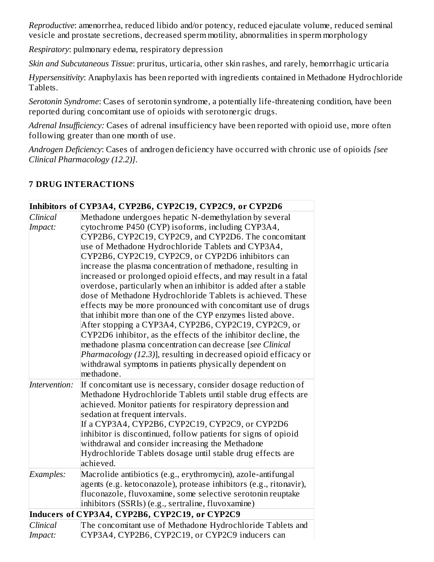*Reproductive*: amenorrhea, reduced libido and/or potency, reduced ejaculate volume, reduced seminal vesicle and prostate secretions, decreased sperm motility, abnormalities in sperm morphology

*Respiratory*: pulmonary edema, respiratory depression

*Skin and Subcutaneous Tissue*: pruritus, urticaria, other skin rashes, and rarely, hemorrhagic urticaria

*Hypersensitivity*: Anaphylaxis has been reported with ingredients contained in Methadone Hydrochloride Tablets.

*Serotonin Syndrome*: Cases of serotonin syndrome, a potentially life-threatening condition, have been reported during concomitant use of opioids with serotonergic drugs.

*Adrenal Insufficiency:* Cases of adrenal insufficiency have been reported with opioid use, more often following greater than one month of use.

*Androgen Deficiency*: Cases of androgen deficiency have occurred with chronic use of opioids *[see Clinical Pharmacology (12.2)]*.

## **7 DRUG INTERACTIONS**

|               | Inhibitors of CYP3A4, CYP2B6, CYP2C19, CYP2C9, or CYP2D6                                                                   |
|---------------|----------------------------------------------------------------------------------------------------------------------------|
| Clinical      | Methadone undergoes hepatic N-demethylation by several                                                                     |
| Impact:       | cytochrome P450 (CYP) isoforms, including CYP3A4,                                                                          |
|               | CYP2B6, CYP2C19, CYP2C9, and CYP2D6. The concomitant                                                                       |
|               | use of Methadone Hydrochloride Tablets and CYP3A4,                                                                         |
|               | CYP2B6, CYP2C19, CYP2C9, or CYP2D6 inhibitors can                                                                          |
|               | increase the plasma concentration of methadone, resulting in                                                               |
|               | increased or prolonged opioid effects, and may result in a fatal                                                           |
|               | overdose, particularly when an inhibitor is added after a stable                                                           |
|               | dose of Methadone Hydrochloride Tablets is achieved. These                                                                 |
|               | effects may be more pronounced with concomitant use of drugs                                                               |
|               | that inhibit more than one of the CYP enzymes listed above.                                                                |
|               | After stopping a CYP3A4, CYP2B6, CYP2C19, CYP2C9, or                                                                       |
|               | CYP2D6 inhibitor, as the effects of the inhibitor decline, the                                                             |
|               | methadone plasma concentration can decrease [see Clinical                                                                  |
|               | Pharmacology (12.3)], resulting in decreased opioid efficacy or<br>withdrawal symptoms in patients physically dependent on |
|               | methadone.                                                                                                                 |
| Intervention: | If concomitant use is necessary, consider dosage reduction of                                                              |
|               | Methadone Hydrochloride Tablets until stable drug effects are                                                              |
|               | achieved. Monitor patients for respiratory depression and                                                                  |
|               | sedation at frequent intervals.                                                                                            |
|               | If a CYP3A4, CYP2B6, CYP2C19, CYP2C9, or CYP2D6                                                                            |
|               | inhibitor is discontinued, follow patients for signs of opioid                                                             |
|               | withdrawal and consider increasing the Methadone                                                                           |
|               | Hydrochloride Tablets dosage until stable drug effects are                                                                 |
|               | achieved.                                                                                                                  |
| Examples:     | Macrolide antibiotics (e.g., erythromycin), azole-antifungal                                                               |
|               | agents (e.g. ketoconazole), protease inhibitors (e.g., ritonavir),                                                         |
|               | fluconazole, fluvoxamine, some selective serotonin reuptake                                                                |
|               | inhibitors (SSRIs) (e.g., sertraline, fluvoxamine)                                                                         |
|               | Inducers of CYP3A4, CYP2B6, CYP2C19, or CYP2C9                                                                             |
| Clinical      | The concomitant use of Methadone Hydrochloride Tablets and                                                                 |
| Impact:       | CYP3A4, CYP2B6, CYP2C19, or CYP2C9 inducers can                                                                            |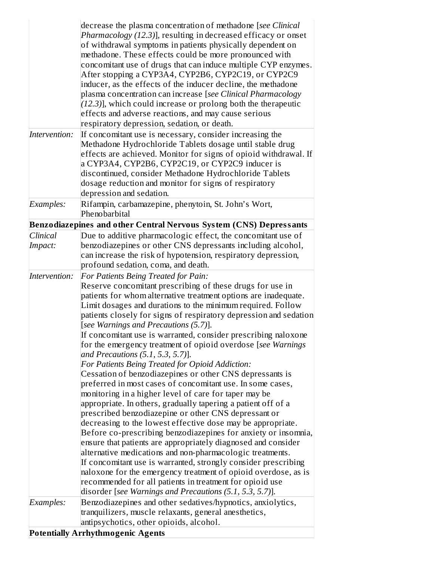|               | decrease the plasma concentration of methadone [see Clinical<br>Pharmacology (12.3)], resulting in decreased efficacy or onset<br>of withdrawal symptoms in patients physically dependent on<br>methadone. These effects could be more pronounced with                                                                                                                                                                                                                                                                                                                                                                                                                                                                                                                                                                                                                                             |
|---------------|----------------------------------------------------------------------------------------------------------------------------------------------------------------------------------------------------------------------------------------------------------------------------------------------------------------------------------------------------------------------------------------------------------------------------------------------------------------------------------------------------------------------------------------------------------------------------------------------------------------------------------------------------------------------------------------------------------------------------------------------------------------------------------------------------------------------------------------------------------------------------------------------------|
|               | concomitant use of drugs that can induce multiple CYP enzymes.<br>After stopping a CYP3A4, CYP2B6, CYP2C19, or CYP2C9<br>inducer, as the effects of the inducer decline, the methadone                                                                                                                                                                                                                                                                                                                                                                                                                                                                                                                                                                                                                                                                                                             |
|               | plasma concentration can increase [see Clinical Pharmacology<br>(12.3)], which could increase or prolong both the therapeutic<br>effects and adverse reactions, and may cause serious                                                                                                                                                                                                                                                                                                                                                                                                                                                                                                                                                                                                                                                                                                              |
|               | respiratory depression, sedation, or death.                                                                                                                                                                                                                                                                                                                                                                                                                                                                                                                                                                                                                                                                                                                                                                                                                                                        |
| Intervention: | If concomitant use is necessary, consider increasing the<br>Methadone Hydrochloride Tablets dosage until stable drug<br>effects are achieved. Monitor for signs of opioid withdrawal. If<br>a CYP3A4, CYP2B6, CYP2C19, or CYP2C9 inducer is<br>discontinued, consider Methadone Hydrochloride Tablets<br>dosage reduction and monitor for signs of respiratory<br>depression and sedation.                                                                                                                                                                                                                                                                                                                                                                                                                                                                                                         |
| Examples:     | Rifampin, carbamazepine, phenytoin, St. John's Wort,<br>Phenobarbital                                                                                                                                                                                                                                                                                                                                                                                                                                                                                                                                                                                                                                                                                                                                                                                                                              |
|               | Benzodiazepines and other Central Nervous System (CNS) Depressants                                                                                                                                                                                                                                                                                                                                                                                                                                                                                                                                                                                                                                                                                                                                                                                                                                 |
| Clinical      | Due to additive pharmacologic effect, the concomitant use of                                                                                                                                                                                                                                                                                                                                                                                                                                                                                                                                                                                                                                                                                                                                                                                                                                       |
| Impact:       | benzodiazepines or other CNS depressants including alcohol,                                                                                                                                                                                                                                                                                                                                                                                                                                                                                                                                                                                                                                                                                                                                                                                                                                        |
|               | can increase the risk of hypotension, respiratory depression,                                                                                                                                                                                                                                                                                                                                                                                                                                                                                                                                                                                                                                                                                                                                                                                                                                      |
|               | profound sedation, coma, and death.                                                                                                                                                                                                                                                                                                                                                                                                                                                                                                                                                                                                                                                                                                                                                                                                                                                                |
| Intervention: | For Patients Being Treated for Pain:<br>Reserve concomitant prescribing of these drugs for use in<br>patients for whom alternative treatment options are inadequate.<br>Limit dosages and durations to the minimum required. Follow<br>patients closely for signs of respiratory depression and sedation<br>[see Warnings and Precautions (5.7)].<br>If concomitant use is warranted, consider prescribing naloxone<br>for the emergency treatment of opioid overdose [see Warnings<br>and Precautions (5.1, 5.3, 5.7)].                                                                                                                                                                                                                                                                                                                                                                           |
|               | For Patients Being Treated for Opioid Addiction:                                                                                                                                                                                                                                                                                                                                                                                                                                                                                                                                                                                                                                                                                                                                                                                                                                                   |
| Examples:     | Cessation of benzodiazepines or other CNS depressants is<br>preferred in most cases of concomitant use. In some cases,<br>monitoring in a higher level of care for taper may be<br>appropriate. In others, gradually tapering a patient off of a<br>prescribed benzodiazepine or other CNS depressant or<br>decreasing to the lowest effective dose may be appropriate.<br>Before co-prescribing benzodiazepines for anxiety or insomnia,<br>ensure that patients are appropriately diagnosed and consider<br>alternative medications and non-pharmacologic treatments.<br>If concomitant use is warranted, strongly consider prescribing<br>naloxone for the emergency treatment of opioid overdose, as is<br>recommended for all patients in treatment for opioid use<br>disorder [see Warnings and Precautions (5.1, 5.3, 5.7)].<br>Benzodiazepines and other sedatives/hypnotics, anxiolytics, |
|               | tranquilizers, muscle relaxants, general anesthetics,<br>antipsychotics, other opioids, alcohol.                                                                                                                                                                                                                                                                                                                                                                                                                                                                                                                                                                                                                                                                                                                                                                                                   |
|               | <b>Potentially Arrhythmogenic Agents</b>                                                                                                                                                                                                                                                                                                                                                                                                                                                                                                                                                                                                                                                                                                                                                                                                                                                           |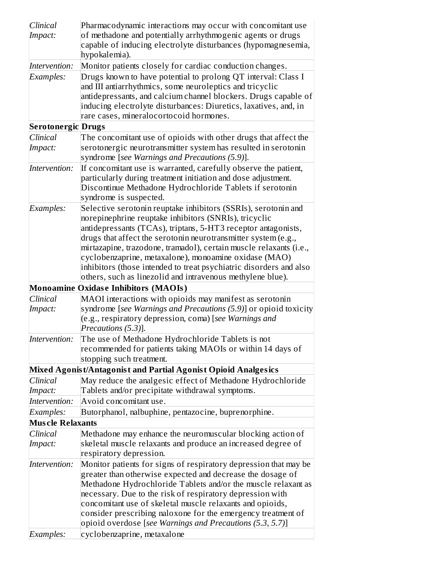| Clinical<br>Impact:       | Pharmacodynamic interactions may occur with concomitant use<br>of methadone and potentially arrhythmogenic agents or drugs<br>capable of inducing electrolyte disturbances (hypomagnesemia,<br>hypokalemia).                                                                                                                                                                                                                                                                                                                  |  |  |  |  |
|---------------------------|-------------------------------------------------------------------------------------------------------------------------------------------------------------------------------------------------------------------------------------------------------------------------------------------------------------------------------------------------------------------------------------------------------------------------------------------------------------------------------------------------------------------------------|--|--|--|--|
| Intervention:             | Monitor patients closely for cardiac conduction changes.                                                                                                                                                                                                                                                                                                                                                                                                                                                                      |  |  |  |  |
| Examples:                 | Drugs known to have potential to prolong QT interval: Class I<br>and III antiarrhythmics, some neuroleptics and tricyclic<br>antidepressants, and calcium channel blockers. Drugs capable of<br>inducing electrolyte disturbances: Diuretics, laxatives, and, in<br>rare cases, mineralocortocoid hormones.                                                                                                                                                                                                                   |  |  |  |  |
| <b>Serotonergic Drugs</b> |                                                                                                                                                                                                                                                                                                                                                                                                                                                                                                                               |  |  |  |  |
| Clinical                  | The concomitant use of opioids with other drugs that affect the                                                                                                                                                                                                                                                                                                                                                                                                                                                               |  |  |  |  |
| Impact:                   | serotonergic neurotransmitter system has resulted in serotonin                                                                                                                                                                                                                                                                                                                                                                                                                                                                |  |  |  |  |
|                           | syndrome [see Warnings and Precautions (5.9)].                                                                                                                                                                                                                                                                                                                                                                                                                                                                                |  |  |  |  |
| Intervention:             | If concomitant use is warranted, carefully observe the patient,<br>particularly during treatment initiation and dose adjustment.<br>Discontinue Methadone Hydrochloride Tablets if serotonin<br>syndrome is suspected.                                                                                                                                                                                                                                                                                                        |  |  |  |  |
| Examples:                 | Selective serotonin reuptake inhibitors (SSRIs), serotonin and<br>norepinephrine reuptake inhibitors (SNRIs), tricyclic<br>antidepressants (TCAs), triptans, 5-HT3 receptor antagonists,<br>drugs that affect the serotonin neurotransmitter system (e.g.,<br>mirtazapine, trazodone, tramadol), certain muscle relaxants (i.e.,<br>cyclobenzaprine, metaxalone), monoamine oxidase (MAO)<br>inhibitors (those intended to treat psychiatric disorders and also<br>others, such as linezolid and intravenous methylene blue). |  |  |  |  |
|                           | <b>Monoamine Oxidase Inhibitors (MAOIs)</b>                                                                                                                                                                                                                                                                                                                                                                                                                                                                                   |  |  |  |  |
| Clinical                  | MAOI interactions with opioids may manifest as serotonin                                                                                                                                                                                                                                                                                                                                                                                                                                                                      |  |  |  |  |
| Impact:<br>Intervention:  | syndrome [see Warnings and Precautions (5.9)] or opioid toxicity<br>(e.g., respiratory depression, coma) [see Warnings and<br>Precautions (5.3)].<br>The use of Methadone Hydrochloride Tablets is not                                                                                                                                                                                                                                                                                                                        |  |  |  |  |
|                           | recommended for patients taking MAOIs or within 14 days of<br>stopping such treatment.                                                                                                                                                                                                                                                                                                                                                                                                                                        |  |  |  |  |
|                           | Mixed Agonist/Antagonist and Partial Agonist Opioid Analgesics                                                                                                                                                                                                                                                                                                                                                                                                                                                                |  |  |  |  |
| Clinical                  | May reduce the analgesic effect of Methadone Hydrochloride                                                                                                                                                                                                                                                                                                                                                                                                                                                                    |  |  |  |  |
| Impact:                   | Tablets and/or precipitate withdrawal symptoms.                                                                                                                                                                                                                                                                                                                                                                                                                                                                               |  |  |  |  |
| Intervention:             | Avoid concomitant use.                                                                                                                                                                                                                                                                                                                                                                                                                                                                                                        |  |  |  |  |
| Examples:                 | Butorphanol, nalbuphine, pentazocine, buprenorphine.                                                                                                                                                                                                                                                                                                                                                                                                                                                                          |  |  |  |  |
| <b>Muscle Relaxants</b>   |                                                                                                                                                                                                                                                                                                                                                                                                                                                                                                                               |  |  |  |  |
| Clinical                  | Methadone may enhance the neuromuscular blocking action of                                                                                                                                                                                                                                                                                                                                                                                                                                                                    |  |  |  |  |
| Impact:                   | skeletal muscle relaxants and produce an increased degree of<br>respiratory depression.                                                                                                                                                                                                                                                                                                                                                                                                                                       |  |  |  |  |
| Intervention:             | Monitor patients for signs of respiratory depression that may be<br>greater than otherwise expected and decrease the dosage of<br>Methadone Hydrochloride Tablets and/or the muscle relaxant as<br>necessary. Due to the risk of respiratory depression with<br>concomitant use of skeletal muscle relaxants and opioids,<br>consider prescribing naloxone for the emergency treatment of<br>opioid overdose [see Warnings and Precautions (5.3, 5.7)]                                                                        |  |  |  |  |
| Examples:                 | cyclobenzaprine, metaxalone                                                                                                                                                                                                                                                                                                                                                                                                                                                                                                   |  |  |  |  |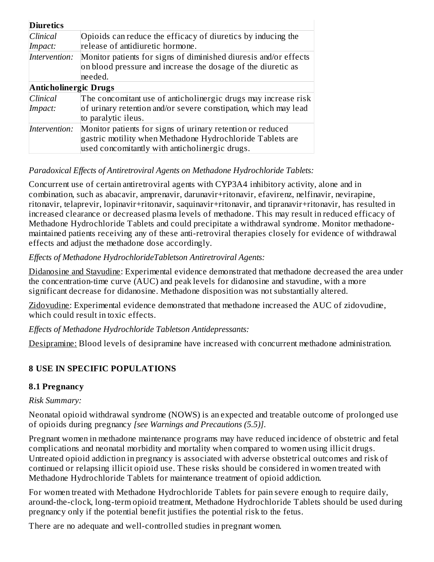| <b>Diuretics</b>       |                                                                                                                                                                           |  |  |  |  |  |
|------------------------|---------------------------------------------------------------------------------------------------------------------------------------------------------------------------|--|--|--|--|--|
| <b>Clinical</b>        | Opioids can reduce the efficacy of diuretics by inducing the                                                                                                              |  |  |  |  |  |
| Impact:                | release of antidiuretic hormone.                                                                                                                                          |  |  |  |  |  |
| Intervention:          | Monitor patients for signs of diminished diuresis and/or effects<br>on blood pressure and increase the dosage of the diuretic as<br>needed.                               |  |  |  |  |  |
|                        | Anticholinergic Drugs                                                                                                                                                     |  |  |  |  |  |
| <i><b>Clinical</b></i> | The concomitant use of anticholinergic drugs may increase risk                                                                                                            |  |  |  |  |  |
| Impact:                | of urinary retention and/or severe constipation, which may lead<br>to paralytic ileus.                                                                                    |  |  |  |  |  |
| Intervention:          | Monitor patients for signs of urinary retention or reduced<br>gastric motility when Methadone Hydrochloride Tablets are<br>used concomitantly with anticholinergic drugs. |  |  |  |  |  |

# *Paradoxical Effects of Antiretroviral Agents on Methadone Hydrochloride Tablets:*

Concurrent use of certain antiretroviral agents with CYP3A4 inhibitory activity, alone and in combination, such as abacavir, amprenavir, darunavir+ritonavir, efavirenz, nelfinavir, nevirapine, ritonavir, telaprevir, lopinavir+ritonavir, saquinavir+ritonavir, and tipranavir+ritonavir, has resulted in increased clearance or decreased plasma levels of methadone. This may result in reduced efficacy of Methadone Hydrochloride Tablets and could precipitate a withdrawal syndrome. Monitor methadonemaintained patients receiving any of these anti-retroviral therapies closely for evidence of withdrawal effects and adjust the methadone dose accordingly.

## *Effects of Methadone HydrochlorideTabletson Antiretroviral Agents:*

Didanosine and Stavudine: Experimental evidence demonstrated that methadone decreased the area under the concentration-time curve (AUC) and peak levels for didanosine and stavudine, with a more significant decrease for didanosine. Methadone disposition was not substantially altered.

Zidovudine: Experimental evidence demonstrated that methadone increased the AUC of zidovudine, which could result in toxic effects.

*Effects of Methadone Hydrochloride Tabletson Antidepressants:*

Desipramine: Blood levels of desipramine have increased with concurrent methadone administration.

# **8 USE IN SPECIFIC POPULATIONS**

# **8.1 Pregnancy**

# *Risk Summary:*

Neonatal opioid withdrawal syndrome (NOWS) is an expected and treatable outcome of prolonged use of opioids during pregnancy *[see Warnings and Precautions (5.5)]*.

Pregnant women in methadone maintenance programs may have reduced incidence of obstetric and fetal complications and neonatal morbidity and mortality when compared to women using illicit drugs. Untreated opioid addiction in pregnancy is associated with adverse obstetrical outcomes and risk of continued or relapsing illicit opioid use. These risks should be considered in women treated with Methadone Hydrochloride Tablets for maintenance treatment of opioid addiction.

For women treated with Methadone Hydrochloride Tablets for pain severe enough to require daily, around-the-clock, long-term opioid treatment, Methadone Hydrochloride Tablets should be used during pregnancy only if the potential benefit justifies the potential risk to the fetus.

There are no adequate and well-controlled studies in pregnant women.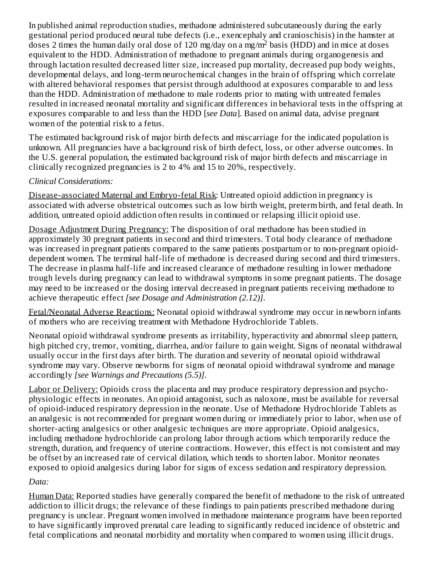In published animal reproduction studies, methadone administered subcutaneously during the early gestational period produced neural tube defects (i.e., exencephaly and cranioschisis) in the hamster at doses 2 times the human daily oral dose of 120 mg/day on a mg/m<sup>2</sup> basis (HDD) and in mice at doses equivalent to the HDD. Administration of methadone to pregnant animals during organogenesis and through lactation resulted decreased litter size, increased pup mortality, decreased pup body weights, developmental delays, and long-term neurochemical changes in the brain of offspring which correlate with altered behavioral responses that persist through adulthood at exposures comparable to and less than the HDD. Administration of methadone to male rodents prior to mating with untreated females resulted in increased neonatal mortality and significant differences in behavioral tests in the offspring at exposures comparable to and less than the HDD [*see Data*]. Based on animal data, advise pregnant women of the potential risk to a fetus.

The estimated background risk of major birth defects and miscarriage for the indicated population is unknown. All pregnancies have a background risk of birth defect, loss, or other adverse outcomes. In the U.S. general population, the estimated background risk of major birth defects and miscarriage in clinically recognized pregnancies is 2 to 4% and 15 to 20%, respectively.

## *Clinical Considerations:*

Disease-associated Maternal and Embryo-fetal Risk: Untreated opioid addiction in pregnancy is associated with adverse obstetrical outcomes such as low birth weight, preterm birth, and fetal death. In addition, untreated opioid addiction often results in continued or relapsing illicit opioid use.

Dosage Adjustment During Pregnancy: The disposition of oral methadone has been studied in approximately 30 pregnant patients in second and third trimesters. Total body clearance of methadone was increased in pregnant patients compared to the same patients postpartum or to non-pregnant opioiddependent women. The terminal half-life of methadone is decreased during second and third trimesters. The decrease in plasma half-life and increased clearance of methadone resulting in lower methadone trough levels during pregnancy can lead to withdrawal symptoms in some pregnant patients. The dosage may need to be increased or the dosing interval decreased in pregnant patients receiving methadone to achieve therapeutic effect *[see Dosage and Administration (2.12)]*.

Fetal/Neonatal Adverse Reactions: Neonatal opioid withdrawal syndrome may occur in newborn infants of mothers who are receiving treatment with Methadone Hydrochloride Tablets.

Neonatal opioid withdrawal syndrome presents as irritability, hyperactivity and abnormal sleep pattern, high pitched cry, tremor, vomiting, diarrhea, and/or failure to gain weight. Signs of neonatal withdrawal usually occur in the first days after birth. The duration and severity of neonatal opioid withdrawal syndrome may vary. Observe newborns for signs of neonatal opioid withdrawal syndrome and manage accordingly *[see Warnings and Precautions (5.5)]*.

Labor or Delivery: Opioids cross the placenta and may produce respiratory depression and psychophysiologic effects in neonates. An opioid antagonist, such as naloxone, must be available for reversal of opioid-induced respiratory depression in the neonate. Use of Methadone Hydrochloride Tablets as an analgesic is not recommended for pregnant women during or immediately prior to labor, when use of shorter-acting analgesics or other analgesic techniques are more appropriate. Opioid analgesics, including methadone hydrochloride can prolong labor through actions which temporarily reduce the strength, duration, and frequency of uterine contractions. However, this effect is not consistent and may be offset by an increased rate of cervical dilation, which tends to shorten labor. Monitor neonates exposed to opioid analgesics during labor for signs of excess sedation and respiratory depression.

# *Data:*

Human Data: Reported studies have generally compared the benefit of methadone to the risk of untreated addiction to illicit drugs; the relevance of these findings to pain patients prescribed methadone during pregnancy is unclear. Pregnant women involved in methadone maintenance programs have been reported to have significantly improved prenatal care leading to significantly reduced incidence of obstetric and fetal complications and neonatal morbidity and mortality when compared to women using illicit drugs.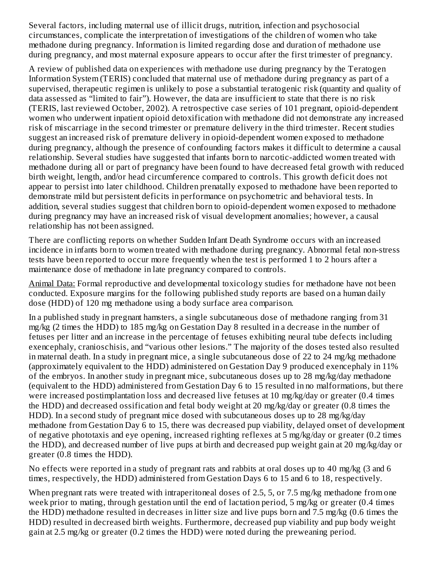Several factors, including maternal use of illicit drugs, nutrition, infection and psychosocial circumstances, complicate the interpretation of investigations of the children of women who take methadone during pregnancy. Information is limited regarding dose and duration of methadone use during pregnancy, and most maternal exposure appears to occur after the first trimester of pregnancy.

A review of published data on experiences with methadone use during pregnancy by the Teratogen Information System (TERIS) concluded that maternal use of methadone during pregnancy as part of a supervised, therapeutic regimen is unlikely to pose a substantial teratogenic risk (quantity and quality of data assessed as "limited to fair"). However, the data are insufficient to state that there is no risk (TERIS, last reviewed October, 2002). A retrospective case series of 101 pregnant, opioid-dependent women who underwent inpatient opioid detoxification with methadone did not demonstrate any increased risk of miscarriage in the second trimester or premature delivery in the third trimester. Recent studies suggest an increased risk of premature delivery in opioid-dependent women exposed to methadone during pregnancy, although the presence of confounding factors makes it difficult to determine a causal relationship. Several studies have suggested that infants born to narcotic-addicted women treated with methadone during all or part of pregnancy have been found to have decreased fetal growth with reduced birth weight, length, and/or head circumference compared to controls. This growth deficit does not appear to persist into later childhood. Children prenatally exposed to methadone have been reported to demonstrate mild but persistent deficits in performance on psychometric and behavioral tests. In addition, several studies suggest that children born to opioid-dependent women exposed to methadone during pregnancy may have an increased risk of visual development anomalies; however, a causal relationship has not been assigned.

There are conflicting reports on whether Sudden Infant Death Syndrome occurs with an increased incidence in infants born to women treated with methadone during pregnancy. Abnormal fetal non-stress tests have been reported to occur more frequently when the test is performed 1 to 2 hours after a maintenance dose of methadone in late pregnancy compared to controls.

Animal Data: Formal reproductive and developmental toxicology studies for methadone have not been conducted. Exposure margins for the following published study reports are based on a human daily dose (HDD) of 120 mg methadone using a body surface area comparison.

In a published study in pregnant hamsters, a single subcutaneous dose of methadone ranging from 31 mg/kg (2 times the HDD) to 185 mg/kg on Gestation Day 8 resulted in a decrease in the number of fetuses per litter and an increase in the percentage of fetuses exhibiting neural tube defects including exencephaly, cranioschisis, and "various other lesions." The majority of the doses tested also resulted in maternal death. In a study in pregnant mice, a single subcutaneous dose of 22 to 24 mg/kg methadone (approximately equivalent to the HDD) administered on Gestation Day 9 produced exencephaly in 11% of the embryos. In another study in pregnant mice, subcutaneous doses up to 28 mg/kg/day methadone (equivalent to the HDD) administered from Gestation Day 6 to 15 resulted in no malformations, but there were increased postimplantation loss and decreased live fetuses at 10 mg/kg/day or greater (0.4 times the HDD) and decreased ossification and fetal body weight at 20 mg/kg/day or greater (0.8 times the HDD). In a second study of pregnant mice dosed with subcutaneous doses up to 28 mg/kg/day methadone from Gestation Day 6 to 15, there was decreased pup viability, delayed onset of development of negative phototaxis and eye opening, increased righting reflexes at 5 mg/kg/day or greater (0.2 times the HDD), and decreased number of live pups at birth and decreased pup weight gain at 20 mg/kg/day or greater (0.8 times the HDD).

No effects were reported in a study of pregnant rats and rabbits at oral doses up to 40 mg/kg (3 and 6 times, respectively, the HDD) administered from Gestation Days 6 to 15 and 6 to 18, respectively.

When pregnant rats were treated with intraperitoneal doses of 2.5, 5, or 7.5 mg/kg methadone from one week prior to mating, through gestation until the end of lactation period, 5 mg/kg or greater (0.4 times the HDD) methadone resulted in decreases in litter size and live pups born and 7.5 mg/kg (0.6 times the HDD) resulted in decreased birth weights. Furthermore, decreased pup viability and pup body weight gain at 2.5 mg/kg or greater (0.2 times the HDD) were noted during the preweaning period.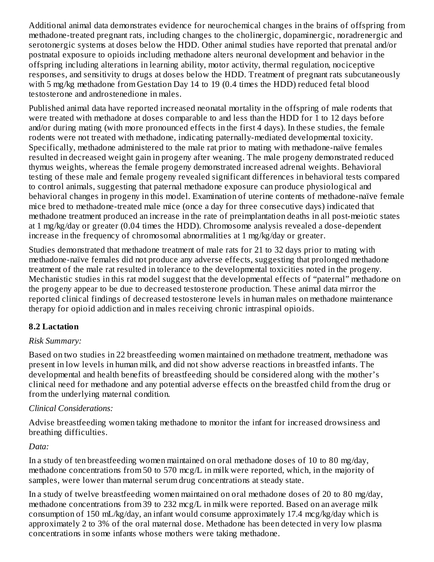Additional animal data demonstrates evidence for neurochemical changes in the brains of offspring from methadone-treated pregnant rats, including changes to the cholinergic, dopaminergic, noradrenergic and serotonergic systems at doses below the HDD. Other animal studies have reported that prenatal and/or postnatal exposure to opioids including methadone alters neuronal development and behavior in the offspring including alterations in learning ability, motor activity, thermal regulation, nociceptive responses, and sensitivity to drugs at doses below the HDD. Treatment of pregnant rats subcutaneously with 5 mg/kg methadone from Gestation Day 14 to 19 (0.4 times the HDD) reduced fetal blood testosterone and androstenedione in males.

Published animal data have reported increased neonatal mortality in the offspring of male rodents that were treated with methadone at doses comparable to and less than the HDD for 1 to 12 days before and/or during mating (with more pronounced effects in the first 4 days). In these studies, the female rodents were not treated with methadone, indicating paternally-mediated developmental toxicity. Specifically, methadone administered to the male rat prior to mating with methadone-naïve females resulted in decreased weight gain in progeny after weaning. The male progeny demonstrated reduced thymus weights, whereas the female progeny demonstrated increased adrenal weights. Behavioral testing of these male and female progeny revealed significant differences in behavioral tests compared to control animals, suggesting that paternal methadone exposure can produce physiological and behavioral changes in progeny in this model. Examination of uterine contents of methadone-naïve female mice bred to methadone-treated male mice (once a day for three consecutive days) indicated that methadone treatment produced an increase in the rate of preimplantation deaths in all post-meiotic states at 1 mg/kg/day or greater (0.04 times the HDD). Chromosome analysis revealed a dose-dependent increase in the frequency of chromosomal abnormalities at 1 mg/kg/day or greater.

Studies demonstrated that methadone treatment of male rats for 21 to 32 days prior to mating with methadone-naïve females did not produce any adverse effects, suggesting that prolonged methadone treatment of the male rat resulted in tolerance to the developmental toxicities noted in the progeny. Mechanistic studies in this rat model suggest that the developmental effects of "paternal" methadone on the progeny appear to be due to decreased testosterone production. These animal data mirror the reported clinical findings of decreased testosterone levels in human males on methadone maintenance therapy for opioid addiction and in males receiving chronic intraspinal opioids.

#### **8.2 Lactation**

# *Risk Summary:*

Based on two studies in 22 breastfeeding women maintained on methadone treatment, methadone was present in low levels in human milk, and did not show adverse reactions in breastfed infants. The developmental and health benefits of breastfeeding should be considered along with the mother's clinical need for methadone and any potential adverse effects on the breastfed child from the drug or from the underlying maternal condition.

# *Clinical Considerations:*

Advise breastfeeding women taking methadone to monitor the infant for increased drowsiness and breathing difficulties.

# *Data:*

In a study of ten breastfeeding women maintained on oral methadone doses of 10 to 80 mg/day, methadone concentrations from 50 to 570 mcg/L in milk were reported, which, in the majority of samples, were lower than maternal serum drug concentrations at steady state.

In a study of twelve breastfeeding women maintained on oral methadone doses of 20 to 80 mg/day, methadone concentrations from 39 to 232 mcg/L in milk were reported. Based on an average milk consumption of 150 mL/kg/day, an infant would consume approximately 17.4 mcg/kg/day which is approximately 2 to 3% of the oral maternal dose. Methadone has been detected in very low plasma concentrations in some infants whose mothers were taking methadone.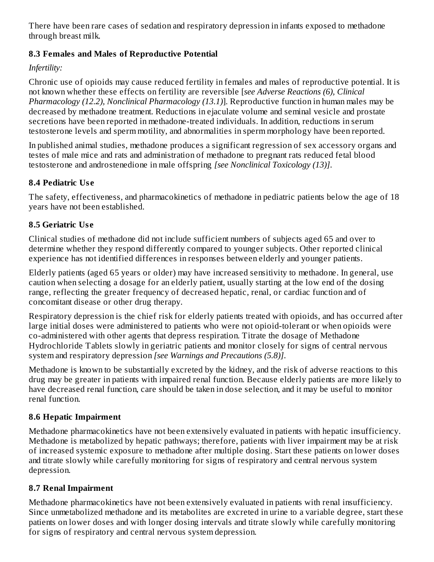There have been rare cases of sedation and respiratory depression in infants exposed to methadone through breast milk.

# **8.3 Females and Males of Reproductive Potential**

# *Infertility:*

Chronic use of opioids may cause reduced fertility in females and males of reproductive potential. It is not known whether these effects on fertility are reversible [*see Adverse Reactions (6), Clinical Pharmacology (12.2), Nonclinical Pharmacology (13.1)*]. Reproductive function in human males may be decreased by methadone treatment. Reductions in ejaculate volume and seminal vesicle and prostate secretions have been reported in methadone-treated individuals. In addition, reductions in serum testosterone levels and sperm motility, and abnormalities in sperm morphology have been reported.

In published animal studies, methadone produces a significant regression of sex accessory organs and testes of male mice and rats and administration of methadone to pregnant rats reduced fetal blood testosterone and androstenedione in male offspring *[see Nonclinical Toxicology (13)]*.

# **8.4 Pediatric Us e**

The safety, effectiveness, and pharmacokinetics of methadone in pediatric patients below the age of 18 years have not been established.

## **8.5 Geriatric Us e**

Clinical studies of methadone did not include sufficient numbers of subjects aged 65 and over to determine whether they respond differently compared to younger subjects. Other reported clinical experience has not identified differences in responses between elderly and younger patients.

Elderly patients (aged 65 years or older) may have increased sensitivity to methadone. In general, use caution when selecting a dosage for an elderly patient, usually starting at the low end of the dosing range, reflecting the greater frequency of decreased hepatic, renal, or cardiac function and of concomitant disease or other drug therapy.

Respiratory depression is the chief risk for elderly patients treated with opioids, and has occurred after large initial doses were administered to patients who were not opioid-tolerant or when opioids were co-administered with other agents that depress respiration. Titrate the dosage of Methadone Hydrochloride Tablets slowly in geriatric patients and monitor closely for signs of central nervous system and respiratory depression *[see Warnings and Precautions (5.8)]*.

Methadone is known to be substantially excreted by the kidney, and the risk of adverse reactions to this drug may be greater in patients with impaired renal function. Because elderly patients are more likely to have decreased renal function, care should be taken in dose selection, and it may be useful to monitor renal function.

# **8.6 Hepatic Impairment**

Methadone pharmacokinetics have not been extensively evaluated in patients with hepatic insufficiency. Methadone is metabolized by hepatic pathways; therefore, patients with liver impairment may be at risk of increased systemic exposure to methadone after multiple dosing. Start these patients on lower doses and titrate slowly while carefully monitoring for signs of respiratory and central nervous system depression.

# **8.7 Renal Impairment**

Methadone pharmacokinetics have not been extensively evaluated in patients with renal insufficiency. Since unmetabolized methadone and its metabolites are excreted in urine to a variable degree, start these patients on lower doses and with longer dosing intervals and titrate slowly while carefully monitoring for signs of respiratory and central nervous system depression.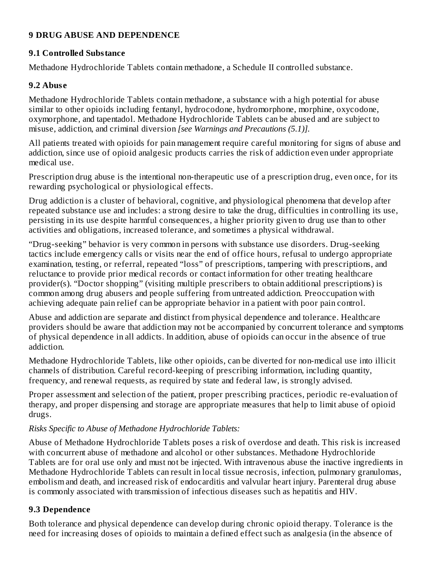### **9 DRUG ABUSE AND DEPENDENCE**

### **9.1 Controlled Substance**

Methadone Hydrochloride Tablets contain methadone, a Schedule II controlled substance.

## **9.2 Abus e**

Methadone Hydrochloride Tablets contain methadone, a substance with a high potential for abuse similar to other opioids including fentanyl, hydrocodone, hydromorphone, morphine, oxycodone, oxymorphone, and tapentadol. Methadone Hydrochloride Tablets can be abused and are subject to misuse, addiction, and criminal diversion *[see Warnings and Precautions (5.1)].*

All patients treated with opioids for pain management require careful monitoring for signs of abuse and addiction, since use of opioid analgesic products carries the risk of addiction even under appropriate medical use.

Prescription drug abuse is the intentional non-therapeutic use of a prescription drug, even once, for its rewarding psychological or physiological effects.

Drug addiction is a cluster of behavioral, cognitive, and physiological phenomena that develop after repeated substance use and includes: a strong desire to take the drug, difficulties in controlling its use, persisting in its use despite harmful consequences, a higher priority given to drug use than to other activities and obligations, increased tolerance, and sometimes a physical withdrawal.

"Drug-seeking" behavior is very common in persons with substance use disorders. Drug-seeking tactics include emergency calls or visits near the end of office hours, refusal to undergo appropriate examination, testing, or referral, repeated "loss" of prescriptions, tampering with prescriptions, and reluctance to provide prior medical records or contact information for other treating healthcare provider(s). "Doctor shopping" (visiting multiple prescribers to obtain additional prescriptions) is common among drug abusers and people suffering from untreated addiction. Preoccupation with achieving adequate pain relief can be appropriate behavior in a patient with poor pain control.

Abuse and addiction are separate and distinct from physical dependence and tolerance. Healthcare providers should be aware that addiction may not be accompanied by concurrent tolerance and symptoms of physical dependence in all addicts. In addition, abuse of opioids can occur in the absence of true addiction.

Methadone Hydrochloride Tablets, like other opioids, can be diverted for non-medical use into illicit channels of distribution. Careful record-keeping of prescribing information, including quantity, frequency, and renewal requests, as required by state and federal law, is strongly advised.

Proper assessment and selection of the patient, proper prescribing practices, periodic re-evaluation of therapy, and proper dispensing and storage are appropriate measures that help to limit abuse of opioid drugs.

#### *Risks Specific to Abuse of Methadone Hydrochloride Tablets:*

Abuse of Methadone Hydrochloride Tablets poses a risk of overdose and death. This risk is increased with concurrent abuse of methadone and alcohol or other substances. Methadone Hydrochloride Tablets are for oral use only and must not be injected. With intravenous abuse the inactive ingredients in Methadone Hydrochloride Tablets can result in local tissue necrosis, infection, pulmonary granulomas, embolism and death, and increased risk of endocarditis and valvular heart injury. Parenteral drug abuse is commonly associated with transmission of infectious diseases such as hepatitis and HIV.

# **9.3 Dependence**

Both tolerance and physical dependence can develop during chronic opioid therapy. Tolerance is the need for increasing doses of opioids to maintain a defined effect such as analgesia (in the absence of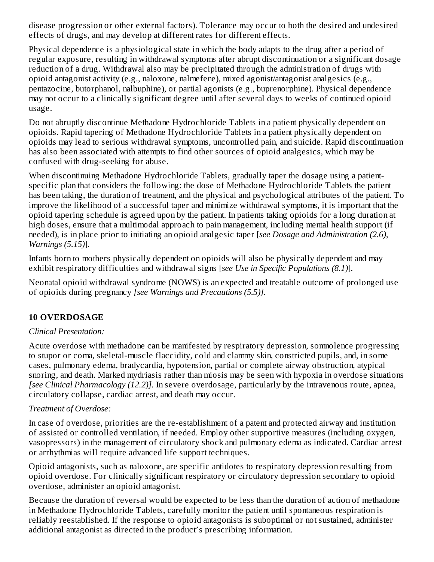disease progression or other external factors). Tolerance may occur to both the desired and undesired effects of drugs, and may develop at different rates for different effects.

Physical dependence is a physiological state in which the body adapts to the drug after a period of regular exposure, resulting in withdrawal symptoms after abrupt discontinuation or a significant dosage reduction of a drug. Withdrawal also may be precipitated through the administration of drugs with opioid antagonist activity (e.g., naloxone, nalmefene), mixed agonist/antagonist analgesics (e.g., pentazocine, butorphanol, nalbuphine), or partial agonists (e.g., buprenorphine). Physical dependence may not occur to a clinically significant degree until after several days to weeks of continued opioid usage.

Do not abruptly discontinue Methadone Hydrochloride Tablets in a patient physically dependent on opioids. Rapid tapering of Methadone Hydrochloride Tablets in a patient physically dependent on opioids may lead to serious withdrawal symptoms, uncontrolled pain, and suicide. Rapid discontinuation has also been associated with attempts to find other sources of opioid analgesics, which may be confused with drug-seeking for abuse.

When discontinuing Methadone Hydrochloride Tablets, gradually taper the dosage using a patientspecific plan that considers the following: the dose of Methadone Hydrochloride Tablets the patient has been taking, the duration of treatment, and the physical and psychological attributes of the patient. To improve the likelihood of a successful taper and minimize withdrawal symptoms, it is important that the opioid tapering schedule is agreed upon by the patient. In patients taking opioids for a long duration at high doses, ensure that a multimodal approach to pain management, including mental health support (if needed), is in place prior to initiating an opioid analgesic taper [*see Dosage and Administration (2.6), Warnings (5.15)*].

Infants born to mothers physically dependent on opioids will also be physically dependent and may exhibit respiratory difficulties and withdrawal signs [*see Use in Specific Populations (8.1)*].

Neonatal opioid withdrawal syndrome (NOWS) is an expected and treatable outcome of prolonged use of opioids during pregnancy *[see Warnings and Precautions (5.5)].*

# **10 OVERDOSAGE**

#### *Clinical Presentation:*

Acute overdose with methadone can be manifested by respiratory depression, somnolence progressing to stupor or coma, skeletal-muscle flaccidity, cold and clammy skin, constricted pupils, and, in some cases, pulmonary edema, bradycardia, hypotension, partial or complete airway obstruction, atypical snoring, and death. Marked mydriasis rather than miosis may be seen with hypoxia in overdose situations *[see Clinical Pharmacology (12.2)].* In severe overdosage, particularly by the intravenous route, apnea, circulatory collapse, cardiac arrest, and death may occur.

#### *Treatment of Overdose:*

In case of overdose, priorities are the re-establishment of a patent and protected airway and institution of assisted or controlled ventilation, if needed. Employ other supportive measures (including oxygen, vasopressors) in the management of circulatory shock and pulmonary edema as indicated. Cardiac arrest or arrhythmias will require advanced life support techniques.

Opioid antagonists, such as naloxone, are specific antidotes to respiratory depression resulting from opioid overdose. For clinically significant respiratory or circulatory depression secondary to opioid overdose, administer an opioid antagonist.

Because the duration of reversal would be expected to be less than the duration of action of methadone in Methadone Hydrochloride Tablets, carefully monitor the patient until spontaneous respiration is reliably reestablished. If the response to opioid antagonists is suboptimal or not sustained, administer additional antagonist as directed in the product's prescribing information.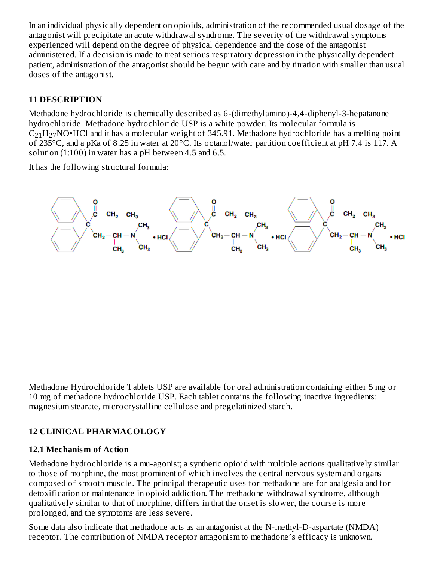In an individual physically dependent on opioids, administration of the recommended usual dosage of the antagonist will precipitate an acute withdrawal syndrome. The severity of the withdrawal symptoms experienced will depend on the degree of physical dependence and the dose of the antagonist administered. If a decision is made to treat serious respiratory depression in the physically dependent patient, administration of the antagonist should be begun with care and by titration with smaller than usual doses of the antagonist.

# **11 DESCRIPTION**

Methadone hydrochloride is chemically described as 6-(dimethylamino)-4,4-diphenyl-3-hepatanone hydrochloride. Methadone hydrochloride USP is a white powder. Its molecular formula is  $\rm{C_{21}H_{27}NO\text{\textendash}}$ HCl and it has a molecular weight of 345.91. Methadone hydrochloride has a melting point of 235°C, and a pKa of 8.25 in water at 20°C. Its octanol/water partition coefficient at pH 7.4 is 117. A solution (1:100) in water has a pH between 4.5 and 6.5.

It has the following structural formula:

Methadone Hydrochloride Tablets USP are available for oral administration containing either 5 mg or 10 mg of methadone hydrochloride USP. Each tablet contains the following inactive ingredients: magnesium stearate, microcrystalline cellulose and pregelatinized starch.

#### **12 CLINICAL PHARMACOLOGY**

#### **12.1 Mechanism of Action**

Methadone hydrochloride is a mu-agonist; a synthetic opioid with multiple actions qualitatively similar to those of morphine, the most prominent of which involves the central nervous system and organs composed of smooth muscle. The principal therapeutic uses for methadone are for analgesia and for detoxification or maintenance in opioid addiction. The methadone withdrawal syndrome, although qualitatively similar to that of morphine, differs in that the onset is slower, the course is more prolonged, and the symptoms are less severe.

Some data also indicate that methadone acts as an antagonist at the N-methyl-D-aspartate (NMDA) receptor. The contribution of NMDA receptor antagonism to methadone's efficacy is unknown.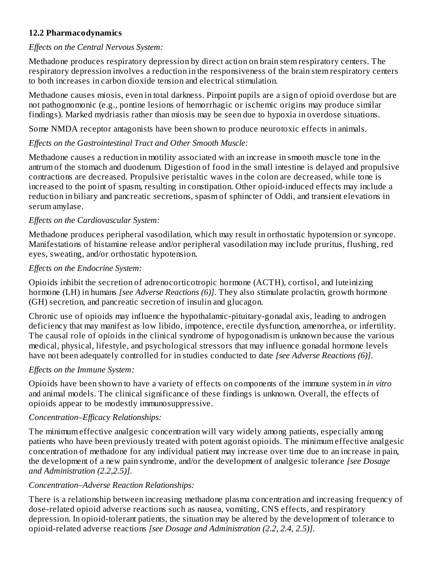### **12.2 Pharmacodynamics**

## *Effects on the Central Nervous System:*

Methadone produces respiratory depression by direct action on brain stem respiratory centers. The respiratory depression involves a reduction in the responsiveness of the brain stem respiratory centers to both increases in carbon dioxide tension and electrical stimulation.

Methadone causes miosis, even in total darkness. Pinpoint pupils are a sign of opioid overdose but are not pathognomonic (e.g., pontine lesions of hemorrhagic or ischemic origins may produce similar findings). Marked mydriasis rather than miosis may be seen due to hypoxia in overdose situations.

Some NMDA receptor antagonists have been shown to produce neurotoxic effects in animals.

## *Effects on the Gastrointestinal Tract and Other Smooth Muscle:*

Methadone causes a reduction in motility associated with an increase in smooth muscle tone in the antrum of the stomach and duodenum. Digestion of food in the small intestine is delayed and propulsive contractions are decreased. Propulsive peristaltic waves in the colon are decreased, while tone is increased to the point of spasm, resulting in constipation. Other opioid-induced effects may include a reduction in biliary and pancreatic secretions, spasm of sphincter of Oddi, and transient elevations in serum amylase.

## *Effects on the Cardiovascular System:*

Methadone produces peripheral vasodilation, which may result in orthostatic hypotension or syncope. Manifestations of histamine release and/or peripheral vasodilation may include pruritus, flushing, red eyes, sweating, and/or orthostatic hypotension.

## *Effects on the Endocrine System:*

Opioids inhibit the secretion of adrenocorticotropic hormone (ACTH), cortisol, and luteinizing hormone (LH) in humans *[see Adverse Reactions (6)]*. They also stimulate prolactin, growth hormone (GH) secretion, and pancreatic secretion of insulin and glucagon.

Chronic use of opioids may influence the hypothalamic-pituitary-gonadal axis, leading to androgen deficiency that may manifest as low libido, impotence, erectile dysfunction, amenorrhea, or infertility. The causal role of opioids in the clinical syndrome of hypogonadism is unknown because the various medical, physical, lifestyle, and psychological stressors that may influence gonadal hormone levels have not been adequately controlled for in studies conducted to date *[see Adverse Reactions (6)]*.

# *Effects on the Immune System:*

Opioids have been shown to have a variety of effects on components of the immune system in *in vitro* and animal models. The clinical significance of these findings is unknown. Overall, the effects of opioids appear to be modestly immunosuppressive.

# *Concentration–Efficacy Relationships:*

The minimum effective analgesic concentration will vary widely among patients, especially among patients who have been previously treated with potent agonist opioids. The minimum effective analgesic concentration of methadone for any individual patient may increase over time due to an increase in pain, the development of a new pain syndrome, and/or the development of analgesic tolerance *[see Dosage and Administration (2.2,2.5)]*.

#### *Concentration–Adverse Reaction Relationships:*

There is a relationship between increasing methadone plasma concentration and increasing frequency of dose-related opioid adverse reactions such as nausea, vomiting, CNS effects, and respiratory depression. In opioid-tolerant patients, the situation may be altered by the development of tolerance to opioid-related adverse reactions *[see Dosage and Administration (2.2, 2.4, 2.5)]*.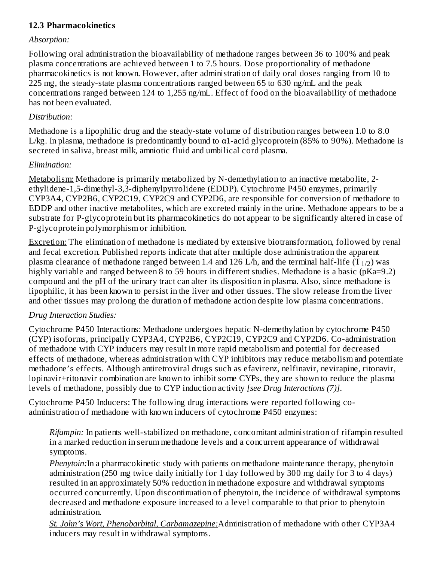### **12.3 Pharmacokinetics**

#### *Absorption:*

Following oral administration the bioavailability of methadone ranges between 36 to 100% and peak plasma concentrations are achieved between 1 to 7.5 hours. Dose proportionality of methadone pharmacokinetics is not known. However, after administration of daily oral doses ranging from 10 to 225 mg, the steady-state plasma concentrations ranged between 65 to 630 ng/mL and the peak concentrations ranged between 124 to 1,255 ng/mL. Effect of food on the bioavailability of methadone has not been evaluated.

#### *Distribution:*

Methadone is a lipophilic drug and the steady-state volume of distribution ranges between 1.0 to 8.0 L/kg. In plasma, methadone is predominantly bound to  $\alpha$ 1-acid glycoprotein (85% to 90%). Methadone is secreted in saliva, breast milk, amniotic fluid and umbilical cord plasma.

#### *Elimination:*

Metabolism: Methadone is primarily metabolized by N-demethylation to an inactive metabolite, 2 ethylidene-1,5-dimethyl-3,3-diphenylpyrrolidene (EDDP). Cytochrome P450 enzymes, primarily CYP3A4, CYP2B6, CYP2C19, CYP2C9 and CYP2D6, are responsible for conversion of methadone to EDDP and other inactive metabolites, which are excreted mainly in the urine. Methadone appears to be a substrate for P-glycoprotein but its pharmacokinetics do not appear to be significantly altered in case of P-glycoprotein polymorphism or inhibition.

Excretion: The elimination of methadone is mediated by extensive biotransformation, followed by renal and fecal excretion. Published reports indicate that after multiple dose administration the apparent plasma clearance of methadone ranged between 1.4 and 126 L/h, and the terminal half-life (T $_{\rm 1/2})$  was highly variable and ranged between 8 to 59 hours in different studies. Methadone is a basic (pKa=9.2) compound and the pH of the urinary tract can alter its disposition in plasma. Also, since methadone is lipophilic, it has been known to persist in the liver and other tissues. The slow release from the liver and other tissues may prolong the duration of methadone action despite low plasma concentrations.

#### *Drug Interaction Studies:*

Cytochrome P450 Interactions: Methadone undergoes hepatic N-demethylation by cytochrome P450 (CYP) isoforms, principally CYP3A4, CYP2B6, CYP2C19, CYP2C9 and CYP2D6. Co-administration of methadone with CYP inducers may result in more rapid metabolism and potential for decreased effects of methadone, whereas administration with CYP inhibitors may reduce metabolism and potentiate methadone's effects. Although antiretroviral drugs such as efavirenz, nelfinavir, nevirapine, ritonavir, lopinavir+ritonavir combination are known to inhibit some CYPs, they are shown to reduce the plasma levels of methadone, possibly due to CYP induction activity *[see Drug Interactions (7)]*.

Cytochrome P450 Inducers: The following drug interactions were reported following coadministration of methadone with known inducers of cytochrome P450 enzymes:

*Rifampin:* In patients well-stabilized on methadone, concomitant administration of rifampin resulted in a marked reduction in serum methadone levels and a concurrent appearance of withdrawal symptoms.

*Phenytoin:*In a pharmacokinetic study with patients on methadone maintenance therapy, phenytoin administration (250 mg twice daily initially for 1 day followed by 300 mg daily for 3 to 4 days) resulted in an approximately 50% reduction in methadone exposure and withdrawal symptoms occurred concurrently. Upon discontinuation of phenytoin, the incidence of withdrawal symptoms decreased and methadone exposure increased to a level comparable to that prior to phenytoin administration.

*St. John's Wort, Phenobarbital, Carbamazepine:*Administration of methadone with other CYP3A4 inducers may result in withdrawal symptoms.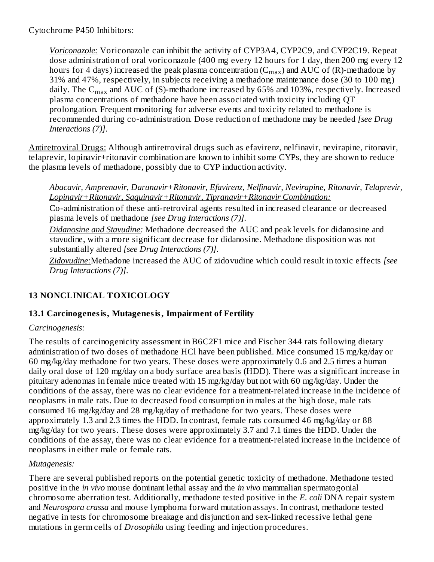#### Cytochrome P450 Inhibitors:

*Voriconazole:* Voriconazole can inhibit the activity of CYP3A4, CYP2C9, and CYP2C19. Repeat dose administration of oral voriconazole (400 mg every 12 hours for 1 day, then 200 mg every 12 hours for 4 days) increased the peak plasma concentration (C $_{\rm max}$ ) and AUC of (R)-methadone by 31% and 47%, respectively, in subjects receiving a methadone maintenance dose (30 to 100 mg) daily. The  $\rm{C_{max}}$  and  $\rm{AUC}$  of (S)-methadone increased by 65% and 103%, respectively. Increased plasma concentrations of methadone have been associated with toxicity including QT prolongation. Frequent monitoring for adverse events and toxicity related to methadone is recommended during co-administration. Dose reduction of methadone may be needed *[see Drug Interactions (7)]*.

Antiretroviral Drugs: Although antiretroviral drugs such as efavirenz, nelfinavir, nevirapine, ritonavir, telaprevir, lopinavir+ritonavir combination are known to inhibit some CYPs, they are shown to reduce the plasma levels of methadone, possibly due to CYP induction activity.

*Abacavir, Amprenavir, Darunavir+Ritonavir, Efavirenz, Nelfinavir, Nevirapine, Ritonavir, Telaprevir, Lopinavir+Ritonavir, Saquinavir+Ritonavir, Tipranavir+Ritonavir Combination:*

Co-administration of these anti-retroviral agents resulted in increased clearance or decreased plasma levels of methadone *[see Drug Interactions (7)]*.

*Didanosine and Stavudine:* Methadone decreased the AUC and peak levels for didanosine and stavudine, with a more significant decrease for didanosine. Methadone disposition was not substantially altered *[see Drug Interactions (7)]*.

*Zidovudine:*Methadone increased the AUC of zidovudine which could result in toxic effects *[see Drug Interactions (7)]*.

# **13 NONCLINICAL TOXICOLOGY**

#### **13.1 Carcinogenesis, Mutagenesis, Impairment of Fertility**

#### *Carcinogenesis:*

The results of carcinogenicity assessment in B6C2F1 mice and Fischer 344 rats following dietary administration of two doses of methadone HCl have been published. Mice consumed 15 mg/kg/day or 60 mg/kg/day methadone for two years. These doses were approximately 0.6 and 2.5 times a human daily oral dose of 120 mg/day on a body surface area basis (HDD). There was a significant increase in pituitary adenomas in female mice treated with 15 mg/kg/day but not with 60 mg/kg/day. Under the conditions of the assay, there was no clear evidence for a treatment-related increase in the incidence of neoplasms in male rats. Due to decreased food consumption in males at the high dose, male rats consumed 16 mg/kg/day and 28 mg/kg/day of methadone for two years. These doses were approximately 1.3 and 2.3 times the HDD. In contrast, female rats consumed 46 mg/kg/day or 88 mg/kg/day for two years. These doses were approximately 3.7 and 7.1 times the HDD. Under the conditions of the assay, there was no clear evidence for a treatment-related increase in the incidence of neoplasms in either male or female rats.

#### *Mutagenesis:*

There are several published reports on the potential genetic toxicity of methadone. Methadone tested positive in the *in vivo* mouse dominant lethal assay and the *in vivo* mammalian spermatogonial chromosome aberration test. Additionally, methadone tested positive in the *E. coli* DNA repair system and *Neurospora crassa* and mouse lymphoma forward mutation assays. In contrast, methadone tested negative in tests for chromosome breakage and disjunction and sex-linked recessive lethal gene mutations in germ cells of *Drosophila* using feeding and injection procedures.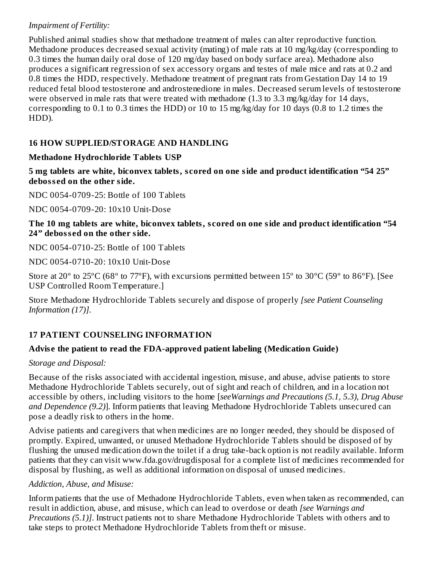## *Impairment of Fertility:*

Published animal studies show that methadone treatment of males can alter reproductive function. Methadone produces decreased sexual activity (mating) of male rats at 10 mg/kg/day (corresponding to 0.3 times the human daily oral dose of 120 mg/day based on body surface area). Methadone also produces a significant regression of sex accessory organs and testes of male mice and rats at 0.2 and 0.8 times the HDD, respectively. Methadone treatment of pregnant rats from Gestation Day 14 to 19 reduced fetal blood testosterone and androstenedione in males. Decreased serum levels of testosterone were observed in male rats that were treated with methadone (1.3 to 3.3 mg/kg/day for 14 days, corresponding to 0.1 to 0.3 times the HDD) or 10 to 15 mg/kg/day for 10 days (0.8 to 1.2 times the HDD).

# **16 HOW SUPPLIED/STORAGE AND HANDLING**

# **Methadone Hydrochloride Tablets USP**

**5 mg tablets are white, biconvex tablets, s cored on one side and product identification "54 25" deboss ed on the other side.**

NDC 0054-0709-25: Bottle of 100 Tablets

NDC 0054-0709-20: 10x10 Unit-Dose

#### **The 10 mg tablets are white, biconvex tablets, s cored on one side and product identification "54 24" deboss ed on the other side.**

NDC 0054-0710-25: Bottle of 100 Tablets

NDC 0054-0710-20: 10x10 Unit-Dose

Store at 20º to 25ºC (68º to 77ºF), with excursions permitted between 15º to 30ºC (59º to 86ºF). [See USP Controlled Room Temperature.]

Store Methadone Hydrochloride Tablets securely and dispose of properly *[see Patient Counseling Information (17)]*.

# **17 PATIENT COUNSELING INFORMATION**

# **Advis e the patient to read the FDA-approved patient labeling (Medication Guide)**

# *Storage and Disposal:*

Because of the risks associated with accidental ingestion, misuse, and abuse, advise patients to store Methadone Hydrochloride Tablets securely, out of sight and reach of children, and in a location not accessible by others, including visitors to the home [*seeWarnings and Precautions (5.1, 5.3), Drug Abuse and Dependence (9.2)*]. Inform patients that leaving Methadone Hydrochloride Tablets unsecured can pose a deadly risk to others in the home.

Advise patients and caregivers that when medicines are no longer needed, they should be disposed of promptly. Expired, unwanted, or unused Methadone Hydrochloride Tablets should be disposed of by flushing the unused medication down the toilet if a drug take-back option is not readily available. Inform patients that they can visit www.fda.gov/drugdisposal for a complete list of medicines recommended for disposal by flushing, as well as additional information on disposal of unused medicines.

# *Addiction, Abuse, and Misuse:*

Inform patients that the use of Methadone Hydrochloride Tablets, even when taken as recommended, can result in addiction, abuse, and misuse, which can lead to overdose or death *[see Warnings and Precautions (5.1)]*. Instruct patients not to share Methadone Hydrochloride Tablets with others and to take steps to protect Methadone Hydrochloride Tablets from theft or misuse.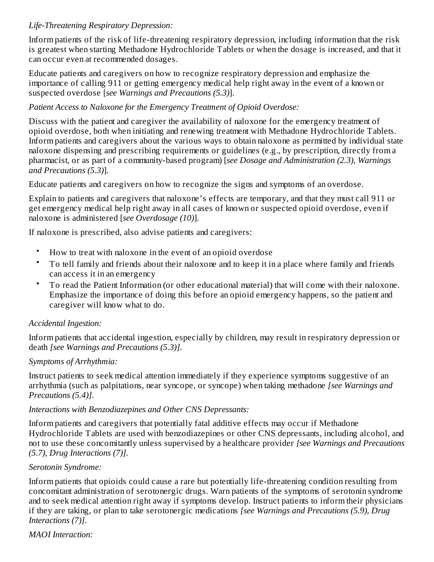# *Life-Threatening Respiratory Depression:*

Inform patients of the risk of life-threatening respiratory depression, including information that the risk is greatest when starting Methadone Hydrochloride Tablets or when the dosage is increased, and that it can occur even at recommended dosages.

Educate patients and caregivers on how to recognize respiratory depression and emphasize the importance of calling 911 or getting emergency medical help right away in the event of a known or suspected overdose [*see Warnings and Precautions (5.3)*].

### *Patient Access to Naloxone for the Emergency Treatment of Opioid Overdose:*

Discuss with the patient and caregiver the availability of naloxone for the emergency treatment of opioid overdose, both when initiating and renewing treatment with Methadone Hydrochloride Tablets. Inform patients and caregivers about the various ways to obtain naloxone as permitted by individual state naloxone dispensing and prescribing requirements or guidelines (e.g., by prescription, directly from a pharmacist, or as part of a community-based program) [*see Dosage and Administration (2.3), Warnings and Precautions (5.3)*].

Educate patients and caregivers on how to recognize the signs and symptoms of an overdose.

Explain to patients and caregivers that naloxone's effects are temporary, and that they must call 911 or get emergency medical help right away in all cases of known or suspected opioid overdose, even if naloxone is administered [*see Overdosage (10)*].

If naloxone is prescribed, also advise patients and caregivers:

- How to treat with naloxone in the event of an opioid overdose
- To tell family and friends about their naloxone and to keep it in a place where family and friends can access it in an emergency
- To read the Patient Information (or other educational material) that will come with their naloxone. Emphasize the importance of doing this before an opioid emergency happens, so the patient and caregiver will know what to do.

#### *Accidental Ingestion:*

Inform patients that accidental ingestion, especially by children, may result in respiratory depression or death *[see Warnings and Precautions (5.3)]*.

#### *Symptoms of Arrhythmia:*

Instruct patients to seek medical attention immediately if they experience symptoms suggestive of an arrhythmia (such as palpitations, near syncope, or syncope) when taking methadone *[see Warnings and Precautions (5.4)]*.

#### *Interactions with Benzodiazepines and Other CNS Depressants:*

Inform patients and caregivers that potentially fatal additive effects may occur if Methadone Hydrochloride Tablets are used with benzodiazepines or other CNS depressants, including alcohol, and not to use these concomitantly unless supervised by a healthcare provider *[see Warnings and Precautions (5.7), Drug Interactions (7)].*

#### *Serotonin Syndrome:*

Inform patients that opioids could cause a rare but potentially life-threatening condition resulting from concomitant administration of serotonergic drugs. Warn patients of the symptoms of serotonin syndrome and to seek medical attention right away if symptoms develop. Instruct patients to inform their physicians if they are taking, or plan to take serotonergic medications *[see Warnings and Precautions (5.9), Drug Interactions (7)]*.

*MAOI Interaction:*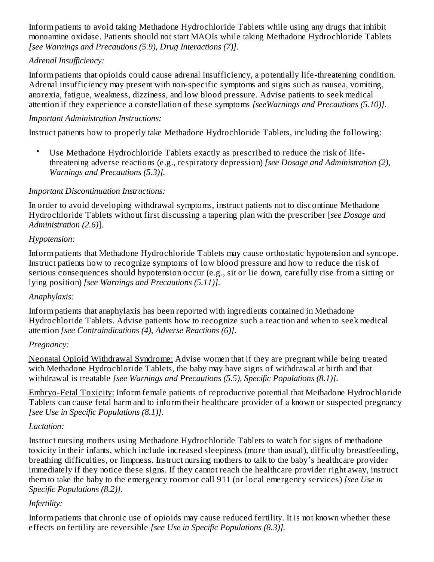Inform patients to avoid taking Methadone Hydrochloride Tablets while using any drugs that inhibit monoamine oxidase. Patients should not start MAOIs while taking Methadone Hydrochloride Tablets *[see Warnings and Precautions (5.9), Drug Interactions (7)]*.

# *Adrenal Insufficiency:*

Inform patients that opioids could cause adrenal insufficiency, a potentially life-threatening condition. Adrenal insufficiency may present with non-specific symptoms and signs such as nausea, vomiting, anorexia, fatigue, weakness, dizziness, and low blood pressure. Advise patients to seek medical attention if they experience a constellation of these symptoms *[seeWarnings and Precautions (5.10)]*.

### *Important Administration Instructions:*

Instruct patients how to properly take Methadone Hydrochloride Tablets, including the following:

• Use Methadone Hydrochloride Tablets exactly as prescribed to reduce the risk of lifethreatening adverse reactions (e.g., respiratory depression) *[see Dosage and Administration (2), Warnings and Precautions (5.3)].*

## *Important Discontinuation Instructions:*

In order to avoid developing withdrawal symptoms, instruct patients not to discontinue Methadone Hydrochloride Tablets without first discussing a tapering plan with the prescriber [*see Dosage and Administration (2.6)*].

## *Hypotension:*

Inform patients that Methadone Hydrochloride Tablets may cause orthostatic hypotension and syncope. Instruct patients how to recognize symptoms of low blood pressure and how to reduce the risk of serious consequences should hypotension occur (e.g., sit or lie down, carefully rise from a sitting or lying position) *[see Warnings and Precautions (5.11)]*.

# *Anaphylaxis:*

Inform patients that anaphylaxis has been reported with ingredients contained in Methadone Hydrochloride Tablets. Advise patients how to recognize such a reaction and when to seek medical attention *[see Contraindications (4), Adverse Reactions (6)]*.

# *Pregnancy:*

Neonatal Opioid Withdrawal Syndrome: Advise women that if they are pregnant while being treated with Methadone Hydrochloride Tablets, the baby may have signs of withdrawal at birth and that withdrawal is treatable *[see Warnings and Precautions (5.5), Specific Populations (8.1)]*.

Embryo-Fetal Toxicity: Inform female patients of reproductive potential that Methadone Hydrochloride Tablets can cause fetal harm and to inform their healthcare provider of a known or suspected pregnancy *[see Use in Specific Populations (8.1)].*

# *Lactation:*

Instruct nursing mothers using Methadone Hydrochloride Tablets to watch for signs of methadone toxicity in their infants, which include increased sleepiness (more than usual), difficulty breastfeeding, breathing difficulties, or limpness. Instruct nursing mothers to talk to the baby's healthcare provider immediately if they notice these signs. If they cannot reach the healthcare provider right away, instruct them to take the baby to the emergency room or call 911 (or local emergency services) *[see Use in Specific Populations (8.2)]*.

# *Infertility:*

Inform patients that chronic use of opioids may cause reduced fertility. It is not known whether these effects on fertility are reversible *[see Use in Specific Populations (8.3)].*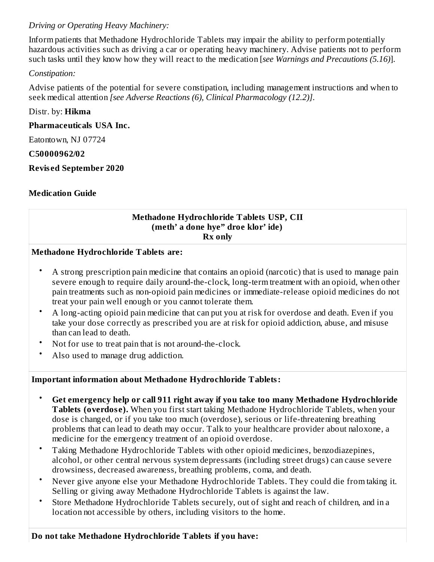### *Driving or Operating Heavy Machinery:*

Inform patients that Methadone Hydrochloride Tablets may impair the ability to perform potentially hazardous activities such as driving a car or operating heavy machinery. Advise patients not to perform such tasks until they know how they will react to the medication [*see Warnings and Precautions (5.16)*].

#### *Constipation:*

Advise patients of the potential for severe constipation, including management instructions and when to seek medical attention *[see Adverse Reactions (6), Clinical Pharmacology (12.2)]*.

#### Distr. by: **Hikma**

#### **Pharmaceuticals USA Inc.**

Eatontown, NJ 07724

#### **C50000962/02**

**Revis ed September 2020**

#### **Medication Guide**

#### **Methadone Hydrochloride Tablets USP, CII (meth' a done hye" droe klor' ide) Rx only**

#### **Methadone Hydrochloride Tablets are:**

- A strong prescription pain medicine that contains an opioid (narcotic) that is used to manage pain severe enough to require daily around-the-clock, long-term treatment with an opioid, when other pain treatments such as non-opioid pain medicines or immediate-release opioid medicines do not treat your pain well enough or you cannot tolerate them.
- A long-acting opioid pain medicine that can put you at risk for overdose and death. Even if you take your dose correctly as prescribed you are at risk for opioid addiction, abuse, and misuse than can lead to death.
- Not for use to treat pain that is not around-the-clock.
- Also used to manage drug addiction.

#### **Important information about Methadone Hydrochloride Tablets:**

- **Get emergency help or call 911 right away if you take too many Methadone Hydrochloride Tablets (overdose).** When you first start taking Methadone Hydrochloride Tablets, when your dose is changed, or if you take too much (overdose), serious or life-threatening breathing problems that can lead to death may occur. Talk to your healthcare provider about naloxone, a medicine for the emergency treatment of an opioid overdose.
- Taking Methadone Hydrochloride Tablets with other opioid medicines, benzodiazepines, alcohol, or other central nervous system depressants (including street drugs) can cause severe drowsiness, decreased awareness, breathing problems, coma, and death.
- Never give anyone else your Methadone Hydrochloride Tablets. They could die from taking it. Selling or giving away Methadone Hydrochloride Tablets is against the law.
- Store Methadone Hydrochloride Tablets securely, out of sight and reach of children, and in a location not accessible by others, including visitors to the home.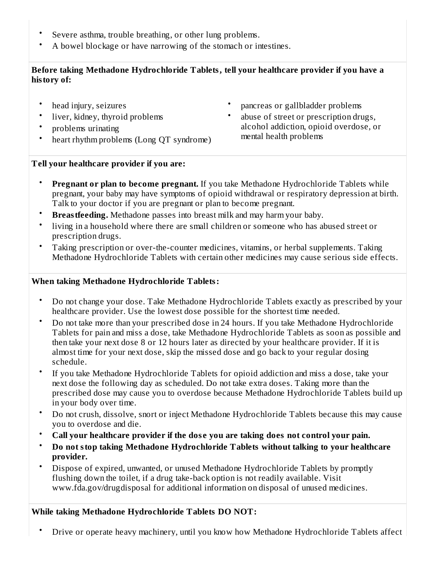- Severe asthma, trouble breathing, or other lung problems.
- A bowel blockage or have narrowing of the stomach or intestines.

#### **Before taking Methadone Hydrochloride Tablets, tell your healthcare provider if you have a history of:**

- head injury, seizures
- liver, kidney, thyroid problems
- problems urinating
- heart rhythm problems (Long QT syndrome)
- pancreas or gallbladder problems
- abuse of street or prescription drugs, alcohol addiction, opioid overdose, or mental health problems

#### **Tell your healthcare provider if you are:**

- **Pregnant or plan to become pregnant.** If you take Methadone Hydrochloride Tablets while pregnant, your baby may have symptoms of opioid withdrawal or respiratory depression at birth. Talk to your doctor if you are pregnant or plan to become pregnant.
- **Breastfeeding.** Methadone passes into breast milk and may harm your baby.
- living in a household where there are small children or someone who has abused street or prescription drugs.
- Taking prescription or over-the-counter medicines, vitamins, or herbal supplements. Taking Methadone Hydrochloride Tablets with certain other medicines may cause serious side effects.

#### **When taking Methadone Hydrochloride Tablets:**

- Do not change your dose. Take Methadone Hydrochloride Tablets exactly as prescribed by your healthcare provider. Use the lowest dose possible for the shortest time needed.
- Do not take more than your prescribed dose in 24 hours. If you take Methadone Hydrochloride Tablets for pain and miss a dose, take Methadone Hydrochloride Tablets as soon as possible and then take your next dose 8 or 12 hours later as directed by your healthcare provider. If it is almost time for your next dose, skip the missed dose and go back to your regular dosing schedule.
- If you take Methadone Hydrochloride Tablets for opioid addiction and miss a dose, take your next dose the following day as scheduled. Do not take extra doses. Taking more than the prescribed dose may cause you to overdose because Methadone Hydrochloride Tablets build up in your body over time.
- Do not crush, dissolve, snort or inject Methadone Hydrochloride Tablets because this may cause you to overdose and die.
- **Call your healthcare provider if the dos e you are taking does not control your pain.**
- **Do not stop taking Methadone Hydrochloride Tablets without talking to your healthcare provider.**
- Dispose of expired, unwanted, or unused Methadone Hydrochloride Tablets by promptly flushing down the toilet, if a drug take-back option is not readily available. Visit www.fda.gov/drugdisposal for additional information on disposal of unused medicines.

#### **While taking Methadone Hydrochloride Tablets DO NOT:**

• Drive or operate heavy machinery, until you know how Methadone Hydrochloride Tablets affect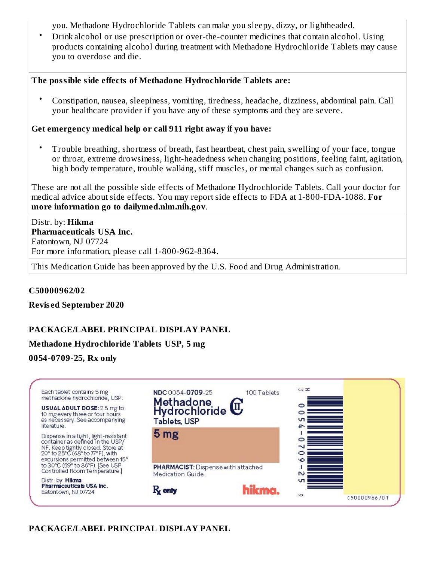you. Methadone Hydrochloride Tablets can make you sleepy, dizzy, or lightheaded.

• Drink alcohol or use prescription or over-the-counter medicines that contain alcohol. Using products containing alcohol during treatment with Methadone Hydrochloride Tablets may cause you to overdose and die.

#### **The possible side effects of Methadone Hydrochloride Tablets are:**

• Constipation, nausea, sleepiness, vomiting, tiredness, headache, dizziness, abdominal pain. Call your healthcare provider if you have any of these symptoms and they are severe.

#### **Get emergency medical help or call 911 right away if you have:**

• Trouble breathing, shortness of breath, fast heartbeat, chest pain, swelling of your face, tongue or throat, extreme drowsiness, light-headedness when changing positions, feeling faint, agitation, high body temperature, trouble walking, stiff muscles, or mental changes such as confusion.

These are not all the possible side effects of Methadone Hydrochloride Tablets. Call your doctor for medical advice about side effects. You may report side effects to FDA at 1-800-FDA-1088. **For more information go to dailymed.nlm.nih.gov**.

Distr. by: **Hikma Pharmaceuticals USA Inc.** Eatontown, NJ 07724 For more information, please call 1-800-962-8364.

This Medication Guide has been approved by the U.S. Food and Drug Administration.

#### **C50000962/02**

**Revis ed September 2020**

#### **PACKAGE/LABEL PRINCIPAL DISPLAY PANEL**

#### **Methadone Hydrochloride Tablets USP, 5 mg**

#### **0054-0709-25, Rx only**

| Each tablet contains 5 mg<br>methadone hydrochloride, USP.                                                                                                                           | NDC 0054-0709-25                                        | 100 Tablets | WZ           |              |
|--------------------------------------------------------------------------------------------------------------------------------------------------------------------------------------|---------------------------------------------------------|-------------|--------------|--------------|
| <b>USUAL ADULT DOSE: 2.5 mg to</b><br>10 mg every three or four hours<br>as necessary. See accompanying<br>literature.                                                               | Methadone<br>Hydrochloride C<br><b>Tablets, USP</b>     |             | vп           |              |
| Dispense in a tight, light-resistant<br>container as defined in the USP/<br>NF, Keep tightly closed. Store at<br>20° to 25°C (68° to 77°F), with<br>excursions permitted between 15° | 5 <sub>mg</sub>                                         |             | ∼<br>o<br>۰o |              |
| to 30°C (59° to 86°F). [See USP<br>Controlled Room Temperature.]                                                                                                                     | PHARMACIST: Dispense with attached<br>Medication Guide. |             | N            |              |
| Distr. by: <b>Hikma</b><br>Pharmaceuticals USA Inc.<br>Eatontown, NJ 07724                                                                                                           | $\mathbf R$ only                                        | hikmo       | vп<br>٧D     |              |
|                                                                                                                                                                                      |                                                         |             |              | c50000966/01 |

# **PACKAGE/LABEL PRINCIPAL DISPLAY PANEL**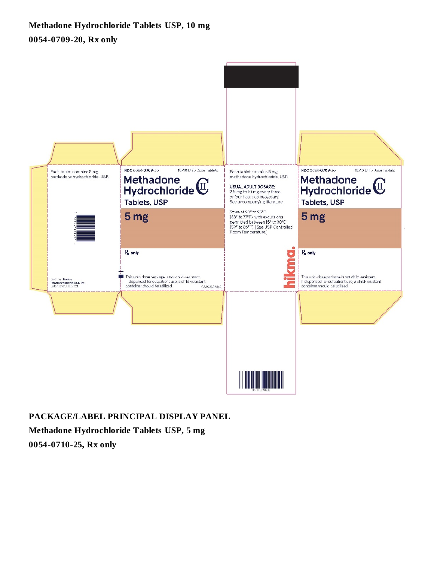# **Methadone Hydrochloride Tablets USP, 10 mg 0054-0709-20, Rx only**



# **PACKAGE/LABEL PRINCIPAL DISPLAY PANEL Methadone Hydrochloride Tablets USP, 5 mg**

**0054-0710-25, Rx only**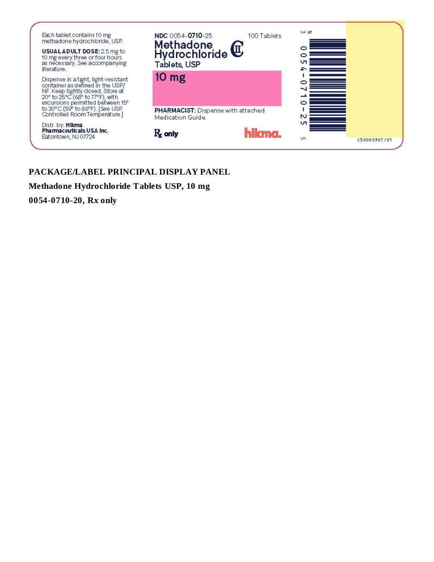

#### **PACKAGE/LABEL PRINCIPAL DISPLAY PANEL**

**Methadone Hydrochloride Tablets USP, 10 mg**

**0054-0710-20, Rx only**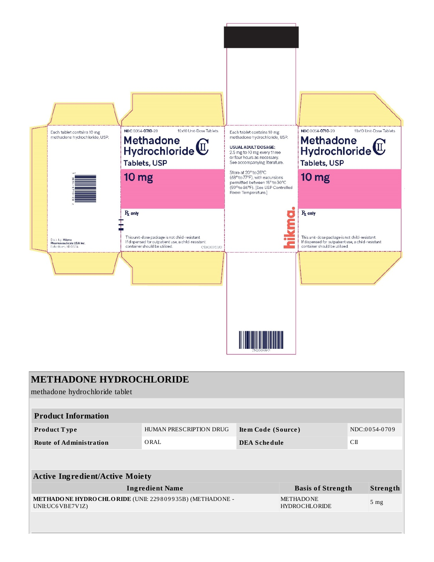

| <b>METHADONE HYDROCHLORIDE</b><br>methadone hydrochloride tablet                 |                                                                |                                        |                 |  |  |  |  |  |
|----------------------------------------------------------------------------------|----------------------------------------------------------------|----------------------------------------|-----------------|--|--|--|--|--|
|                                                                                  |                                                                |                                        |                 |  |  |  |  |  |
| <b>Product Information</b>                                                       |                                                                |                                        |                 |  |  |  |  |  |
| Product Type                                                                     | HUMAN PRESCRIPTION DRUG<br>NDC:0054-0709<br>Item Code (Source) |                                        |                 |  |  |  |  |  |
| <b>Route of Administration</b>                                                   | ORAL                                                           | C <sub>II</sub><br><b>DEA Schedule</b> |                 |  |  |  |  |  |
|                                                                                  |                                                                |                                        |                 |  |  |  |  |  |
| <b>Active Ingredient/Active Moiety</b>                                           |                                                                |                                        |                 |  |  |  |  |  |
| <b>Ingredient Name</b><br><b>Basis of Strength</b><br><b>Strength</b>            |                                                                |                                        |                 |  |  |  |  |  |
| METHADO NE HYDRO CHLORIDE (UNII: 229809935B) (METHADO NE -<br>UNII: UC6 VBE7V1Z) | <b>METHADONE</b><br><b>HYDROCHLORIDE</b>                       |                                        | 5 <sub>mg</sub> |  |  |  |  |  |
|                                                                                  |                                                                |                                        |                 |  |  |  |  |  |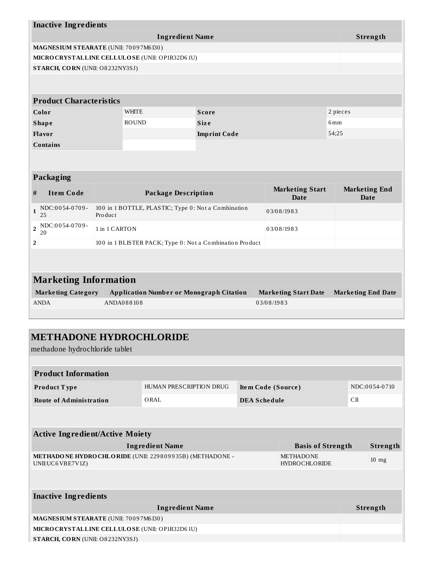| <b>Ingredient Name</b><br>Strength<br>MAGNESIUM STEARATE (UNII: 70097M6130)<br>MICRO CRYSTALLINE CELLULO SE (UNII: OP1R32D61U)<br>STARCH, CORN (UNII: O8232NY3SJ)<br><b>Product Characteristics</b><br><b>WHITE</b><br>Color<br><b>Score</b><br>2 pieces<br><b>ROUND</b><br>6mm<br><b>Shape</b><br><b>Size</b><br>Flavor<br><b>Imprint Code</b><br>54;25<br>Packaging<br><b>Marketing End</b><br><b>Marketing Start</b><br><b>Item Code</b><br><b>Package Description</b><br><b>Date</b><br><b>Date</b><br>NDC:0054-0709-<br>100 in 1 BOTTLE, PLASTIC; Type 0: Not a Combination<br>03/08/1983<br>25<br>Product<br>NDC:0054-0709-<br>1 in 1 CARTON<br>03/08/1983<br>20<br>100 in 1 BLISTER PACK; Type 0: Not a Combination Product<br><b>Marketing Information</b><br><b>Marketing Category</b><br><b>Application Number or Monograph Citation</b><br><b>Marketing End Date</b><br><b>Marketing Start Date</b><br>ANDA088108<br>03/08/1983<br><b>METHADONE HYDROCHLORIDE</b><br>methadone hydrochloride tablet | <b>Inactive Ingredients</b> |  |  |  |  |  |  |
|----------------------------------------------------------------------------------------------------------------------------------------------------------------------------------------------------------------------------------------------------------------------------------------------------------------------------------------------------------------------------------------------------------------------------------------------------------------------------------------------------------------------------------------------------------------------------------------------------------------------------------------------------------------------------------------------------------------------------------------------------------------------------------------------------------------------------------------------------------------------------------------------------------------------------------------------------------------------------------------------------------------|-----------------------------|--|--|--|--|--|--|
|                                                                                                                                                                                                                                                                                                                                                                                                                                                                                                                                                                                                                                                                                                                                                                                                                                                                                                                                                                                                                |                             |  |  |  |  |  |  |
|                                                                                                                                                                                                                                                                                                                                                                                                                                                                                                                                                                                                                                                                                                                                                                                                                                                                                                                                                                                                                |                             |  |  |  |  |  |  |
|                                                                                                                                                                                                                                                                                                                                                                                                                                                                                                                                                                                                                                                                                                                                                                                                                                                                                                                                                                                                                |                             |  |  |  |  |  |  |
|                                                                                                                                                                                                                                                                                                                                                                                                                                                                                                                                                                                                                                                                                                                                                                                                                                                                                                                                                                                                                |                             |  |  |  |  |  |  |
|                                                                                                                                                                                                                                                                                                                                                                                                                                                                                                                                                                                                                                                                                                                                                                                                                                                                                                                                                                                                                |                             |  |  |  |  |  |  |
|                                                                                                                                                                                                                                                                                                                                                                                                                                                                                                                                                                                                                                                                                                                                                                                                                                                                                                                                                                                                                |                             |  |  |  |  |  |  |
|                                                                                                                                                                                                                                                                                                                                                                                                                                                                                                                                                                                                                                                                                                                                                                                                                                                                                                                                                                                                                |                             |  |  |  |  |  |  |
|                                                                                                                                                                                                                                                                                                                                                                                                                                                                                                                                                                                                                                                                                                                                                                                                                                                                                                                                                                                                                |                             |  |  |  |  |  |  |
|                                                                                                                                                                                                                                                                                                                                                                                                                                                                                                                                                                                                                                                                                                                                                                                                                                                                                                                                                                                                                |                             |  |  |  |  |  |  |
|                                                                                                                                                                                                                                                                                                                                                                                                                                                                                                                                                                                                                                                                                                                                                                                                                                                                                                                                                                                                                |                             |  |  |  |  |  |  |
|                                                                                                                                                                                                                                                                                                                                                                                                                                                                                                                                                                                                                                                                                                                                                                                                                                                                                                                                                                                                                | <b>Contains</b>             |  |  |  |  |  |  |
|                                                                                                                                                                                                                                                                                                                                                                                                                                                                                                                                                                                                                                                                                                                                                                                                                                                                                                                                                                                                                |                             |  |  |  |  |  |  |
|                                                                                                                                                                                                                                                                                                                                                                                                                                                                                                                                                                                                                                                                                                                                                                                                                                                                                                                                                                                                                |                             |  |  |  |  |  |  |
|                                                                                                                                                                                                                                                                                                                                                                                                                                                                                                                                                                                                                                                                                                                                                                                                                                                                                                                                                                                                                |                             |  |  |  |  |  |  |
|                                                                                                                                                                                                                                                                                                                                                                                                                                                                                                                                                                                                                                                                                                                                                                                                                                                                                                                                                                                                                | $\#$                        |  |  |  |  |  |  |
|                                                                                                                                                                                                                                                                                                                                                                                                                                                                                                                                                                                                                                                                                                                                                                                                                                                                                                                                                                                                                | $\mathbf{1}$                |  |  |  |  |  |  |
|                                                                                                                                                                                                                                                                                                                                                                                                                                                                                                                                                                                                                                                                                                                                                                                                                                                                                                                                                                                                                | $\overline{\mathbf{2}}$     |  |  |  |  |  |  |
|                                                                                                                                                                                                                                                                                                                                                                                                                                                                                                                                                                                                                                                                                                                                                                                                                                                                                                                                                                                                                | $\overline{\mathbf{2}}$     |  |  |  |  |  |  |
|                                                                                                                                                                                                                                                                                                                                                                                                                                                                                                                                                                                                                                                                                                                                                                                                                                                                                                                                                                                                                |                             |  |  |  |  |  |  |
|                                                                                                                                                                                                                                                                                                                                                                                                                                                                                                                                                                                                                                                                                                                                                                                                                                                                                                                                                                                                                |                             |  |  |  |  |  |  |
|                                                                                                                                                                                                                                                                                                                                                                                                                                                                                                                                                                                                                                                                                                                                                                                                                                                                                                                                                                                                                |                             |  |  |  |  |  |  |
|                                                                                                                                                                                                                                                                                                                                                                                                                                                                                                                                                                                                                                                                                                                                                                                                                                                                                                                                                                                                                |                             |  |  |  |  |  |  |
|                                                                                                                                                                                                                                                                                                                                                                                                                                                                                                                                                                                                                                                                                                                                                                                                                                                                                                                                                                                                                | ANDA                        |  |  |  |  |  |  |
|                                                                                                                                                                                                                                                                                                                                                                                                                                                                                                                                                                                                                                                                                                                                                                                                                                                                                                                                                                                                                |                             |  |  |  |  |  |  |
|                                                                                                                                                                                                                                                                                                                                                                                                                                                                                                                                                                                                                                                                                                                                                                                                                                                                                                                                                                                                                |                             |  |  |  |  |  |  |
|                                                                                                                                                                                                                                                                                                                                                                                                                                                                                                                                                                                                                                                                                                                                                                                                                                                                                                                                                                                                                |                             |  |  |  |  |  |  |
|                                                                                                                                                                                                                                                                                                                                                                                                                                                                                                                                                                                                                                                                                                                                                                                                                                                                                                                                                                                                                |                             |  |  |  |  |  |  |
|                                                                                                                                                                                                                                                                                                                                                                                                                                                                                                                                                                                                                                                                                                                                                                                                                                                                                                                                                                                                                |                             |  |  |  |  |  |  |

| <b>Product Information</b>                                                      |                         |                                     |                                          |  |                 |  |  |
|---------------------------------------------------------------------------------|-------------------------|-------------------------------------|------------------------------------------|--|-----------------|--|--|
| Product Type                                                                    | HUMAN PRESCRIPTION DRUG | NDC:0054-0710<br>Item Code (Source) |                                          |  |                 |  |  |
| <b>Route of Administration</b>                                                  | ORAL                    | <b>DEA Schedule</b>                 |                                          |  | C <sub>II</sub> |  |  |
|                                                                                 |                         |                                     |                                          |  |                 |  |  |
|                                                                                 |                         |                                     |                                          |  |                 |  |  |
| <b>Active Ingredient/Active Moiety</b>                                          |                         |                                     |                                          |  |                 |  |  |
| <b>Ingredient Name</b><br><b>Basis of Strength</b>                              |                         |                                     |                                          |  | Strength        |  |  |
| METHADO NE HYDRO CHLO RIDE (UNII: 229809935B) (METHADO NE -<br>UNII:UC6VBE7V1Z) |                         |                                     | <b>METHADONE</b><br><b>HYDROCHLORIDE</b> |  | $10$ mg         |  |  |
|                                                                                 |                         |                                     |                                          |  |                 |  |  |
| <b>Inactive Ingredients</b>                                                     |                         |                                     |                                          |  |                 |  |  |
| <b>Ingredient Name</b>                                                          |                         |                                     |                                          |  | <b>Strength</b> |  |  |
| <b>MAGNESIUM STEARATE (UNII: 70097M6I30)</b>                                    |                         |                                     |                                          |  |                 |  |  |
| MICRO CRYSTALLINE CELLULO SE (UNII: OP1R32D61U)                                 |                         |                                     |                                          |  |                 |  |  |
| <b>STARCH, CORN (UNII: O8232NY3SJ)</b>                                          |                         |                                     |                                          |  |                 |  |  |